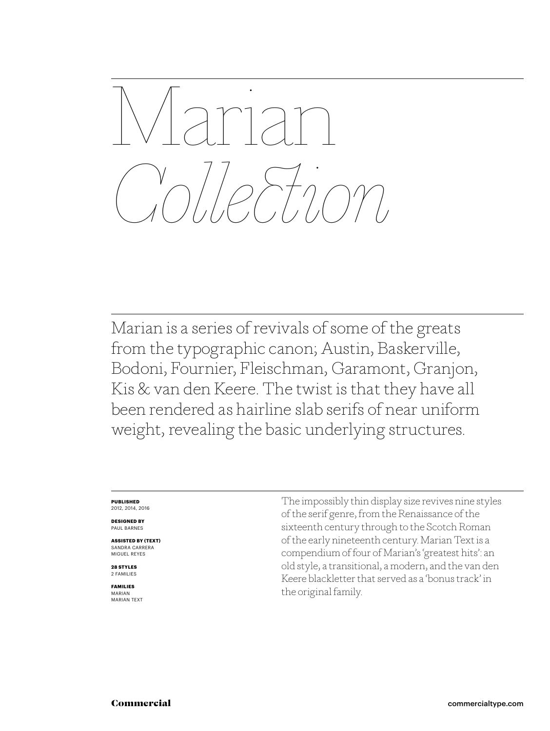

Marian is a series of revivals of some of the greats from the typographic canon; Austin, Baskerville, Bodoni, Fournier, Fleischman, Garamont, Granjon, Kis & van den Keere. The twist is that they have all been rendered as hairline slab serifs of near uniform weight, revealing the basic underlying structures.

#### **PUBLISHED** 2012, 2014, 2016

**DESIGNED BY** PAUL BARNES

**ASSISTED BY (TEXT)** SANDRA CARRERA MIGUEL REYES

**28 STYLES** 2 FAMILIES

**FAMILIES** MARIAN MARIAN TEXT The impossibly thin display size revives nine styles of the serif genre, from the Renaissance of the sixteenth century through to the Scotch Roman of the early nineteenth century. Marian Text is a compendium of four of Marian's 'greatest hits': an old style, a transitional, a modern, and the van den Keere blackletter that served as a 'bonus track' in the original family.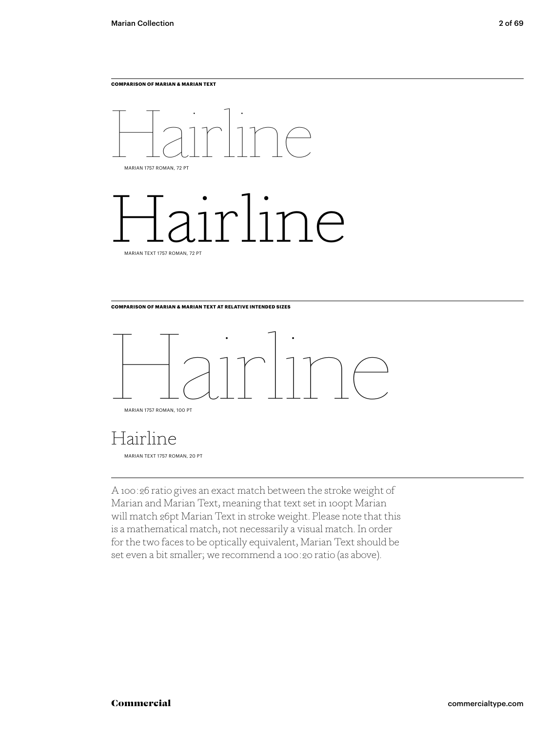### **COMPARISON OF MARIAN & MARIAN TEXT**



# $\text{H}$ arian text 1757 ROMAN, 72 PT

**COMPARISON OF MARIAN & MARIAN TEXT AT RELATIVE INTENDED SIZES**



# Hairline

MARIAN TEXT 1757 ROMAN, 20 PT

A 100 $:26$  ratio gives an exact match between the stroke weight of Marian and Marian Text, meaning that text set in 100pt Marian will match 26pt Marian Text in stroke weight. Please note that this is a mathematical match, not necessarily a visual match. In order for the two faces to be optically equivalent, Marian Text should be set even a bit smaller; we recommend a 100:20 ratio (as above).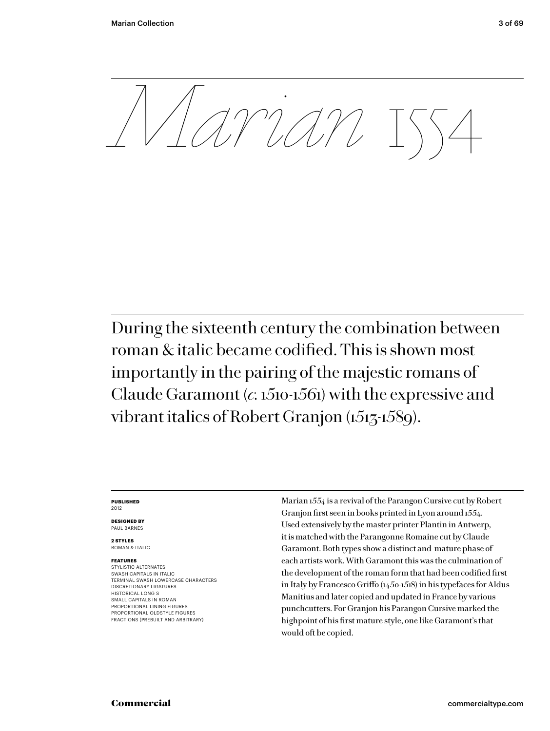Commercial<br>
Commercial<br>
Commercial<br>
Commercial<br>
Commercial<br>
Commercial<br>
Commercial<br>
Commercial<br>
Commercial<br>
Commercial<br>
Commercial<br>
Commercial<br>
Commercial<br>
Commercial<br>
Commercial<br>
Commercial<br>
Commercial<br>
Commercial<br>
Commer During the sixteenth century the combination between roman & italic became codified. This is shown most importantly in the pairing of the majestic romans of Claude Garamont (*c.* 1510-1561) with the expressive and vibrant italics of Robert Granjon (1513-1589).

#### **PUBLISHED** 2012

**DESIGNED BY** PAUL BARNES

**2 STYLES** ROMAN & ITALIC

### **FEATURES**

STYLISTIC ALTERNATES SWASH CAPITALS IN ITALIC TERMINAL SWASH LOWERCASE CHARACTERS DISCRETIONARY LIGATURES HISTORICAL LONG S SMALL CAPITALS IN ROMAN PROPORTIONAL LINING FIGURES PROPORTIONAL OLDSTYLE FIGURES FRACTIONS (PREBUILT AND ARBITRARY)

Marian 1554 is a revival of the Parangon Cursive cut by Robert Granjon first seen in books printed in Lyon around 1554. Used extensively by the master printer Plantin in Antwerp, it is matched with the Parangonne Romaine cut by Claude Garamont. Both types show a distinct and mature phase of each artists work. With Garamont this was the culmination of the development of the roman form that had been codified first in Italy by Francesco Griffo  $(1450-1518)$  in his typefaces for Aldus Manitius and later copied and updated in France by various punchcutters. For Granjon his Parangon Cursive marked the highpoint of his first mature style, one like Garamont's that would oft be copied.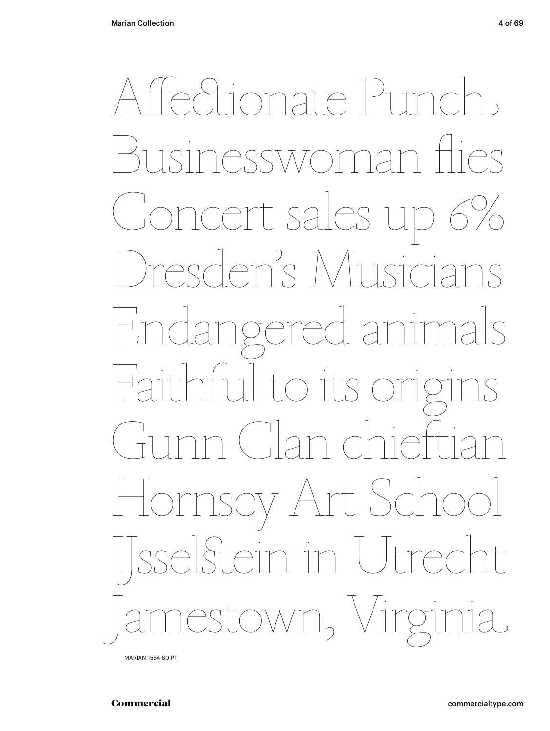Affedionale Punch<br>Businesswoman flies<br>Concert sales up 6%<br>Dresden's Musicians<br>Endangered animals<br>Faithful to its origins<br>Gunn Clan chieftian<br>Hornsey Art School<br>Jsselstein in Utrecht<br>Jamestown, Virginia Businesswoman ies ncert sales u resden's Musi Endangered animals Faithful to its  $C^1$ an c Hornsey Art Scho IJsselein in Utrecht OWN<sub>2</sub>

MARIAN 1554 60 PT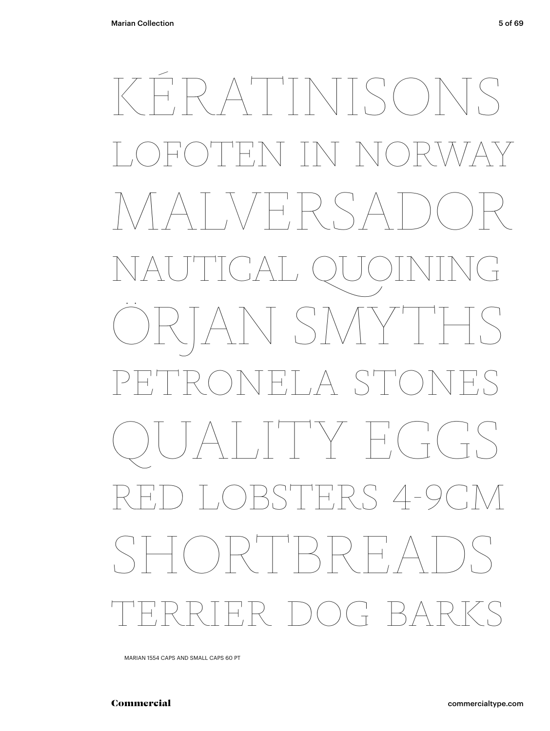# KERATINISONS<br>Lofoten in norway<br>MALVERSADOR<br>NAUTICAL QUOINING<br>ORJAN SMYTHS<br>PETRONELA STONES<br>QUALITY EGGS<br>RED LOBSTERS 4-9CM<br>SHORTBREADS<br>TERRIER DOG BARKS HN IN N  $A \cup A$ NAUTICAL QUOINING ÖRJAN SMYTHS F.L.A ST QUALITY EGGS STERS 4-9 RHBRH.  $R$  DOG BA

MARIAN 1554 CAPS AND SMALL CAPS 60 PT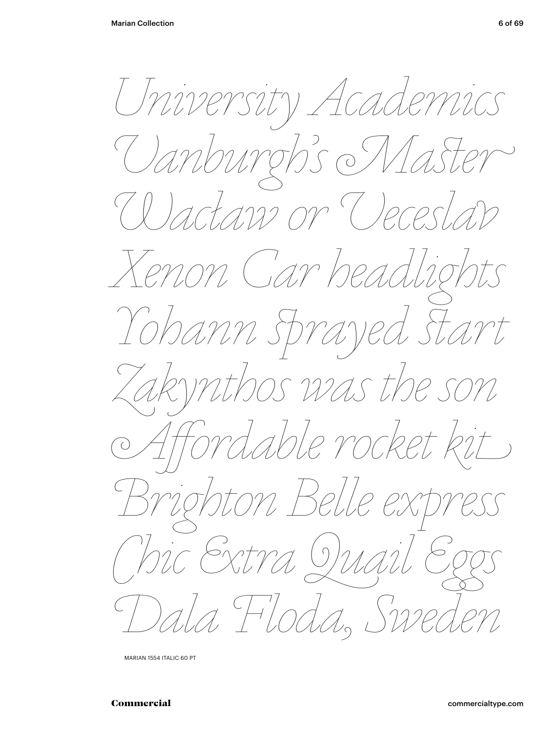University *Academics*<br>Clanburgh's Master<br>Claclaw or Oeceslav<br>Kenon Car beadlights<br>Tohann sprayed start<br>Zakynthos was the son<br>Affordable express<br>Onic Extra Quail Egs<br>Dala Floda, Sweden *Vanburgh's Maer Wacław or Veceslav Xenon Car headlights Yohann sprayed Zakynthos was the son Aordable rocket kit Brighton Belle express Chic tra Quail E
s Dala Floda, Sweden* 

MARIAN 1554 ITALIC 60 PT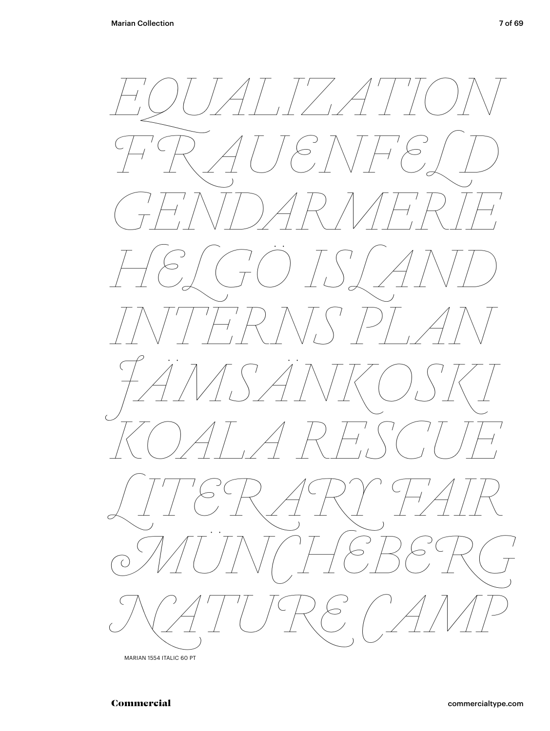

MARIAN 1554 ITALIC 60 PT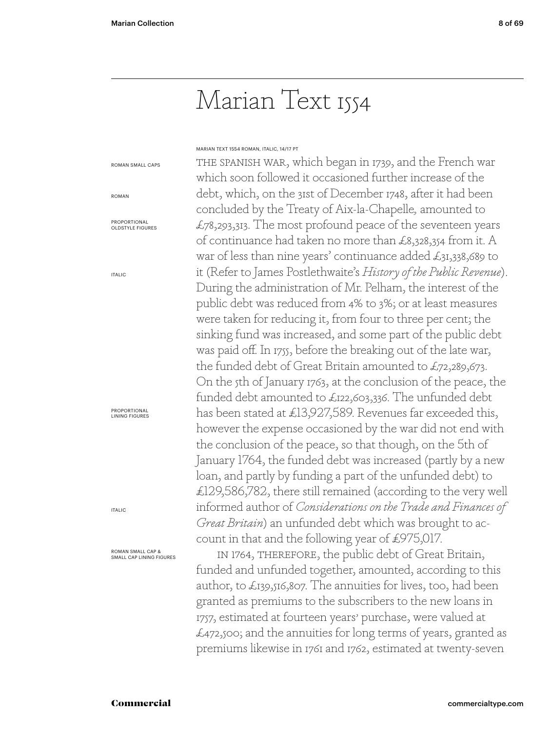# Marian Text 1554

# MARIAN TEXT 1554 ROMAN, ITALIC, 14/17 PT

ROMAN SMALL CAPS

ROMAN

PROPORTIONAL OLDSTYLE FIGURES

ITALIC

PROPORTIONAL LINING FIGURES

ITALIC

ROMAN SMALL CAP & SMALL CAP LINING FIGURES

the spanish war, which began in 1739, and the French war which soon followed it occasioned further increase of the debt, which, on the 31st of December 1748, after it had been concluded by the Treaty of Aix-la-Chapelle*,* amounted to £78,293,313. The most profound peace of the seventeen years of continuance had taken no more than £8,328,354 from it. A war of less than nine years' continuance added £31,338,689 to it (Refer to James Postlethwaite's *History of the Public Revenue*). During the administration of Mr. Pelham, the interest of the public debt was reduced from 4% to 3%; or at least measures were taken for reducing it, from four to three per cent; the sinking fund was increased, and some part of the public debt was paid off. In 1755, before the breaking out of the late war, the funded debt of Great Britain amounted to £72,289,673. On the 5th of January 1763, at the conclusion of the peace, the funded debt amounted to £122,603,336. The unfunded debt has been stated at £13,927,589. Revenues far exceeded this, however the expense occasioned by the war did not end with the conclusion of the peace, so that though, on the 5th of January 1764, the funded debt was increased (partly by a new loan, and partly by funding a part of the unfunded debt) to £129,586,782, there still remained (according to the very well informed author of *Considerations on the Trade and Finances of Great Britain*) an unfunded debt which was brought to account in that and the following year of £975,017.

IN 1764, THEREFORE, the public debt of Great Britain, funded and unfunded together, amounted, according to this author, to £139,516,807. The annuities for lives, too, had been granted as premiums to the subscribers to the new loans in 1757, estimated at fourteen years' purchase, were valued at £472,500; and the annuities for long terms of years, granted as premiums likewise in 1761 and 1762, estimated at twenty-seven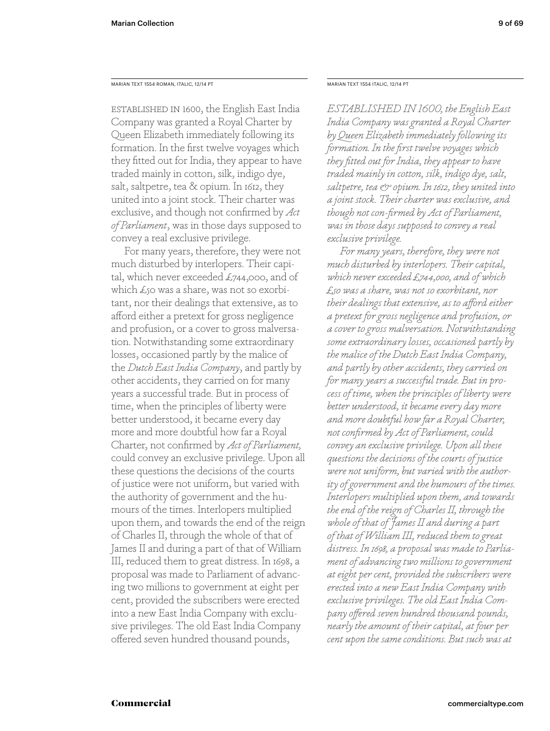MARIAN TEXT 1554 ROMAN, ITALIC, 12/14 PT MARIAN TEXT 1554 ITALIC, 12/14 PT

Established in 1600, the English East India Company was granted a Royal Charter by Queen Elizabeth immediately following its formation. In the first twelve voyages which they fitted out for India, they appear to have traded mainly in cotton, silk, indigo dye, salt, saltpetre, tea & opium. In 1612, they united into a joint stock. Their charter was exclusive, and though not confirmed by *Act of Parliament*, was in those days supposed to convey a real exclusive privilege.

For many years, therefore, they were not much disturbed by interlopers. Their capital, which never exceeded  $\pounds$ 744,000, and of which  $\mathcal{L}_5$ o was a share, was not so exorbitant, nor their dealings that extensive, as to afford either a pretext for gross negligence and profusion, or a cover to gross malversation. Notwithstanding some extraordinary losses, occasioned partly by the malice of the *Dutch East India Company*, and partly by other accidents, they carried on for many years a successful trade. But in process of time, when the principles of liberty were better understood, it became every day more and more doubtful how far a Royal Charter, not confirmed by *Act of Parliament,* could convey an exclusive privilege. Upon all these questions the decisions of the courts of justice were not uniform, but varied with the authority of government and the humours of the times. Interlopers multiplied upon them, and towards the end of the reign of Charles II, through the whole of that of James II and during a part of that of William III, reduced them to great distress. In 1698, a proposal was made to Parliament of advancing two millions to government at eight per cent, provided the subscribers were erected into a new East India Company with exclusive privileges. The old East India Company offered seven hundred thousand pounds,

*ESTABLISHED IN 1600, the English East India Company was granted a Royal Charter by Queen Elizabeth immediately following its formation. In the first twelve voyages which they fitted out for India, they appear to have traded mainly in cotton, silk, indigo dye, salt, saltpetre, tea & opium. In 1612, they united into a joint stock. Their charter was exclusive, and though not con-firmed by Act of Parliament, was in those days supposed to convey a real exclusive privilege.*

*For many years, therefore, they were not much disturbed by interlopers. Their capital, which never exceeded £744,000, and of which £50 was a share, was not so exorbitant, nor their dealings that extensive, as to afford either a pretext for gross negligence and profusion, or a cover to gross malversation. Notwithstanding some extraordinary losses, occasioned partly by the malice of the Dutch East India Company, and partly by other accidents, they carried on for many years a successful trade. But in process of time, when the principles of liberty were better understood, it became every day more and more doubtful how far a Royal Charter, not confirmed by Act of Parliament, could convey an exclusive privilege. Upon all these questions the decisions of the courts of justice were not uniform, but varied with the authority of government and the humours of the times. Interlopers multiplied upon them, and towards the end of the reign of Charles II, through the whole of that of James II and during a part of that of William III, reduced them to great distress. In 1698, a proposal was made to Parliament of advancing two millions to government at eight per cent, provided the subscribers were erected into a new East India Company with exclusive privileges. The old East India Company offered seven hundred thousand pounds, nearly the amount of their capital, at four per cent upon the same conditions. But such was at*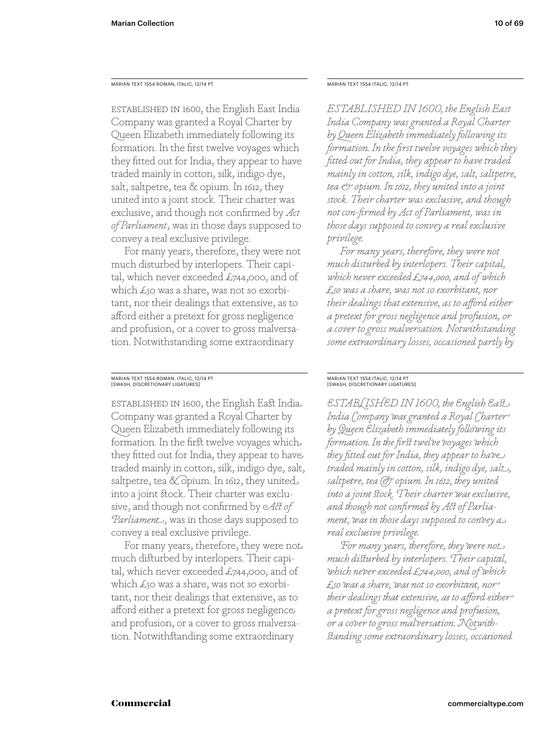MARIAN TEXT 1554 ROMAN, ITALIC, 12/14 PT

Established in 1600, the English East India Company was granted a Royal Charter by Queen Elizabeth immediately following its formation. In the first twelve voyages which they fitted out for India, they appear to have traded mainly in cotton, silk, indigo dye, salt, saltpetre, tea & opium. In 1612, they united into a joint stock. Their charter was exclusive, and though not confirmed by *Act of Parliament*, was in those days supposed to convey a real exclusive privilege.

For many years, therefore, they were not much disturbed by interlopers. Their capital, which never exceeded £744,000, and of which  $\mathcal{L}_5$ o was a share, was not so exorbitant, nor their dealings that extensive, as to afford either a pretext for gross negligence and profusion, or a cover to gross malversation. Notwithstanding some extraordinary

# MARIAN TEXT 1554 ROMAN, ITALIC, 12/14 PT [SWASH, DISCRETIONARY LIGATURES]

Established in 1600, the English East India Company was granted a Royal Charter by Queen Elizabeth immediately following its formation. In the first twelve voyages which they fitted out for India, they appear to have traded mainly in cotton, silk, indigo dye, salt, saltpetre, tea  $\&$  opium. In 1612, they united into a joint stock. Their charter was exclusive, and though not confirmed by *Act of Parliament*, was in those days supposed to convey a real exclusive privilege.

For many years, therefore, they were not much disturbed by interlopers. Their capital, which never exceeded £744,000, and of which  $\mathcal{L}_{50}$  was a share, was not so exorbitant, nor their dealings that extensive, as to afford either a pretext for gross negligence and profusion, or a cover to gross malversation. Notwithstanding some extraordinary

MARIAN TEXT 1554 ITALIC, 12/14 PT

*ESTABLISHED IN 1600, the English East India Company was granted a Royal Charter by Queen Elizabeth immediately following its formation. In the first twelve voyages which they fitted out for India, they appear to have traded mainly in cotton, silk, indigo dye, salt, saltpetre, tea & opium. In 1612, they united into a joint stock. Their charter was exclusive, and though not con-firmed by Act of Parliament, was in those days supposed to convey a real exclusive privilege.*

*For many years, therefore, they were not much disturbed by interlopers. Their capital, which never exceeded £744,000, and of which £50 was a share, was not so exorbitant, nor their dealings that extensive, as to afford either a pretext for gross negligence and profusion, or a cover to gross malversation. Notwithstanding some extraordinary losses, occasioned partly by* 

# MARIAN TEXT 1554 ITALIC, 12/14 PT [SWASH, DISCRETIONARY LIGATURES]

*ESTABLISHED IN 1600, the English East India Company was granted a Royal Charter by Queen Elizabeth immediately following its formation. In the first twelve voyages which they fitted out for India, they appear to have traded mainly in cotton, silk, indigo dye, salt, saltpetre, tea & opium. In 1612, they united into a joint stock. Their charter was exclusive, and though not confirmed by Act of Parliament, was in those days supposed to convey a real exclusive privilege.*

*For many years, therefore, they were not much disturbed by interlopers. Their capital, which never exceeded £744,000, and of which £50 was a share, was not so exorbitant, nor their dealings that extensive, as to afford either a pretext for gross negligence and profusion, or a cover to gross malversation. Notwithstanding some extraordinary losses, occasioned*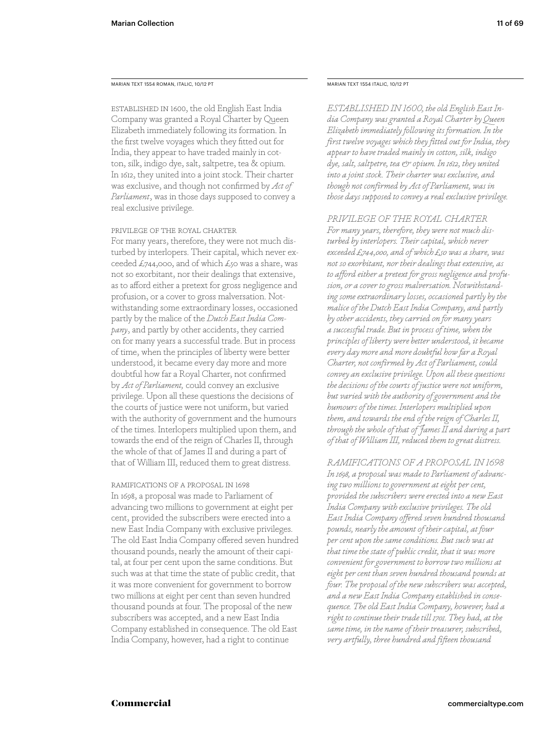MARIAN TEXT 1554 ROMAN, ITALIC, 10/12 PT MARIAN TEXT 1554 ITALIC, 10/12 PT

Established in 1600, the old English East India Company was granted a Royal Charter by Queen Elizabeth immediately following its formation. In the first twelve voyages which they fitted out for India, they appear to have traded mainly in cotton, silk, indigo dye, salt, saltpetre, tea & opium. In 1612, they united into a joint stock. Their charter was exclusive, and though not confirmed by *Act of Parliament*, was in those days supposed to convey a real exclusive privilege.

# privilege of the Royal Charter

For many years, therefore, they were not much disturbed by interlopers. Their capital, which never exceeded £744,000, and of which £50 was a share, was not so exorbitant, nor their dealings that extensive, as to afford either a pretext for gross negligence and profusion, or a cover to gross malversation. Notwithstanding some extraordinary losses, occasioned partly by the malice of the *Dutch East India Company*, and partly by other accidents, they carried on for many years a successful trade. But in process of time, when the principles of liberty were better understood, it became every day more and more doubtful how far a Royal Charter, not confirmed by *Act of Parliament,* could convey an exclusive privilege. Upon all these questions the decisions of the courts of justice were not uniform, but varied with the authority of government and the humours of the times. Interlopers multiplied upon them, and towards the end of the reign of Charles II, through the whole of that of James II and during a part of that of William III, reduced them to great distress.

Ramifications of a proposal in 1698 In 1698, a proposal was made to Parliament of advancing two millions to government at eight per cent, provided the subscribers were erected into a new East India Company with exclusive privileges. The old East India Company offered seven hundred thousand pounds, nearly the amount of their capital, at four per cent upon the same conditions. But such was at that time the state of public credit, that it was more convenient for government to borrow two millions at eight per cent than seven hundred thousand pounds at four. The proposal of the new subscribers was accepted, and a new East India Company established in consequence. The old East India Company, however, had a right to continue

*ESTABLISHED IN 1600, the old English East India Company was granted a Royal Charter by Queen Elizabeth immediately following its formation. In the first twelve voyages which they fitted out for India, they appear to have traded mainly in cotton, silk, indigo dye, salt, saltpetre, tea & opium. In 1612, they united into a joint stock. Their charter was exclusive, and though not confirmed by Act of Parliament, was in those days supposed to convey a real exclusive privilege.*

# *PRIVILEGE OF THE ROYAL CHARTER*

*For many years, therefore, they were not much disturbed by interlopers. Their capital, which never exceeded £744,000, and of which £50 was a share, was not so exorbitant, nor their dealings that extensive, as to afford either a pretext for gross negligence and profusion, or a cover to gross malversation. Notwithstanding some extraordinary losses, occasioned partly by the malice of the Dutch East India Company, and partly by other accidents, they carried on for many years a successful trade. But in process of time, when the principles of liberty were better understood, it became every day more and more doubtful how far a Royal Charter, not confirmed by Act of Parliament, could convey an exclusive privilege. Upon all these questions the decisions of the courts of justice were not uniform, but varied with the authority of government and the humours of the times. Interlopers multiplied upon them, and towards the end of the reign of Charles II, through the whole of that of James II and during a part of that of William III, reduced them to great distress.*

*RAMIFICATIONS OF A PROPOSAL IN 1698 In 1698, a proposal was made to Parliament of advancing two millions to government at eight per cent, provided the subscribers were erected into a new East India Company with exclusive privileges. The old East India Company offered seven hundred thousand pounds, nearly the amount of their capital, at four per cent upon the same conditions. But such was at that time the state of public credit, that it was more convenient for government to borrow two millions at eight per cent than seven hundred thousand pounds at four. The proposal of the new subscribers was accepted, and a new East India Company established in consequence. The old East India Company, however, had a right to continue their trade till 1701. They had, at the same time, in the name of their treasurer, subscribed, very artfully, three hundred and fifteen thousand*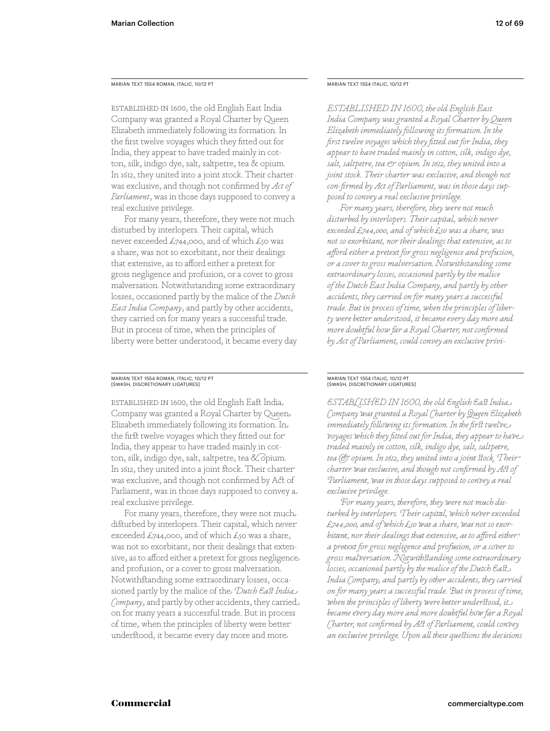MARIAN TEXT 1554 ROMAN, ITALIC, 10/12 PT

Established in 1600, the old English East India Company was granted a Royal Charter by Queen Elizabeth immediately following its formation. In the first twelve voyages which they fitted out for India, they appear to have traded mainly in cotton, silk, indigo dye, salt, saltpetre, tea & opium. In 1612, they united into a joint stock. Their charter was exclusive, and though not confirmed by *Act of Parliament*, was in those days supposed to convey a real exclusive privilege.

For many years, therefore, they were not much disturbed by interlopers. Their capital, which never exceeded £744,000, and of which £50 was a share, was not so exorbitant, nor their dealings that extensive, as to afford either a pretext for gross negligence and profusion, or a cover to gross malversation. Notwithstanding some extraordinary losses, occasioned partly by the malice of the *Dutch East India Company*, and partly by other accidents, they carried on for many years a successful trade. But in process of time, when the principles of liberty were better understood, it became every day

#### MARIAN TEXT 1554 ROMAN, ITALIC, 10/12 PT [SWASH, DISCRETIONARY LIGATURES]

Established in 1600, the old English East India Company was granted a Royal Charter by Queen Elizabeth immediately following its formation. In the first twelve voyages which they fitted out for India, they appear to have traded mainly in cotton, silk, indigo dye, salt, saltpetre, tea & opium. In 1612, they united into a joint stock. Their charter was exclusive, and though not confirmed by Act of Parliament, was in those days supposed to convey a real exclusive privilege.

For many years, therefore, they were not much disturbed by interlopers. Their capital, which never exceeded £744,000, and of which £50 was a share, was not so exorbitant, nor their dealings that extensive, as to afford either a pretext for gross negligence and profusion, or a cover to gross malversation. Notwithstanding some extraordinary losses, occasioned partly by the malice of the *Dutch East India Company*, and partly by other accidents, they carried on for many years a successful trade. But in process of time, when the principles of liberty were better understood, it became every day more and more

## MARIAN TEXT 1554 ITALIC, 10/12 PT

*ESTABLISHED IN 1600, the old English East India Company was granted a Royal Charter by Queen Elizabeth immediately following its formation. In the first twelve voyages which they fitted out for India, they appear to have traded mainly in cotton, silk, indigo dye, salt, saltpetre, tea & opium. In 1612, they united into a joint stock. Their charter was exclusive, and though not con-firmed by Act of Parliament, was in those days supposed to convey a real exclusive privilege.*

*For many years, therefore, they were not much disturbed by interlopers. Their capital, which never exceeded £744,000, and of which £50 was a share, was not so exorbitant, nor their dealings that extensive, as to afford either a pretext for gross negligence and profusion, or a cover to gross malversation. Notwithstanding some extraordinary losses, occasioned partly by the malice of the Dutch East India Company, and partly by other accidents, they carried on for many years a successful trade. But in process of time, when the principles of liberty were better understood, it became every day more and more doubtful how far a Royal Charter, not confirmed by Act of Parliament, could convey an exclusive privi-*

#### MARIAN TEXT 1554 ITALIC, 10/12 PT [SWASH, DISCRETIONARY LIGATURES]

*ESTABLISHED IN 1600, the old English East India Company was granted a Royal Charter by Queen Elizabeth immediately following its formation. In the first twelve voyages which they fitted out for India, they appear to have traded mainly in cotton, silk, indigo dye, salt, saltpetre, tea & opium. In 1612, they united into a joint stock. Their charter was exclusive, and though not confirmed by Act of Parliament, was in those days supposed to convey a real exclusive privilege.*

*For many years, therefore, they were not much disturbed by interlopers. Their capital, which never exceeded £744,000, and of which £50 was a share, was not so exorbitant, nor their dealings that extensive, as to afford either a pretext for gross negligence and profusion, or a cover to gross malversation. Notwithstanding some extraordinary losses, occasioned partly by the malice of the Dutch East India Company, and partly by other accidents, they carried on for many years a successful trade. But in process of time, when the principles of liberty were better understood, it became every day more and more doubtful how far a Royal Charter, not confirmed by Act of Parliament, could convey an exclusive privilege. Upon all these questions the decisions*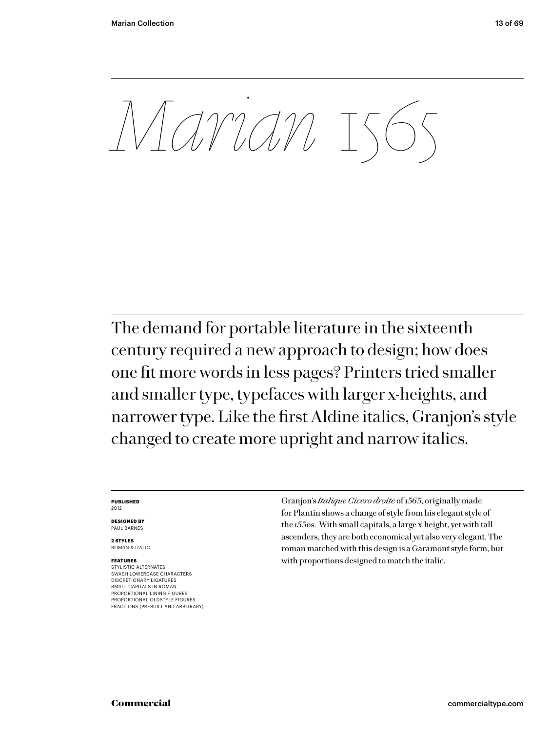Commercial<br>
Commercial<br>
Commercial<br>
Commercial<br>
Commercial<br>
Commercial<br>
Commercial<br>
Commercial<br>
Commercial<br>
Commercial<br>
Commercial<br>
Commercial<br>
Commercial<br>
Commercial<br>
Commercial<br>
Commercial<br>
Commercial<br>
Commercial<br>
Commer The demand for portable literature in the sixteenth century required a new approach to design; how does one fit more words in less pages? Printers tried smaller and smaller type, typefaces with larger x-heights, and narrower type. Like the first Aldine italics, Granjon's style changed to create more upright and narrow italics.

#### **PUBLISHED** 2012

**DESIGNED BY** PAUL BARNES

**2 STYLES** ROMAN & ITALIC

# **FEATURES**

STYLISTIC ALTERNATES SWASH LOWERCASE CHARACTERS DISCRETIONARY LIGATURES SMALL CAPITALS IN ROMAN PROPORTIONAL LINING FIGURES PROPORTIONAL OLDSTYLE FIGURES FRACTIONS (PREBUILT AND ARBITRARY) Granjon's *Italique Cicero droite* of 1565, originally made for Plantin shows a change of style from his elegant style of the 1550s. With small capitals, a large x-height, yet with tall ascenders, they are both economical yet also very elegant. The roman matched with this design is a Garamont style form, but with proportions designed to match the italic.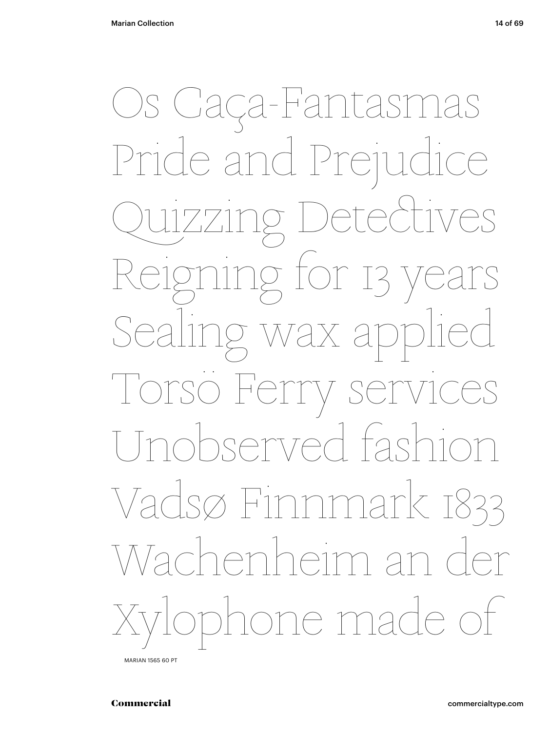Os Caça-Fantasmas<br>Pride and Prejudice<br>Quizzing Detectives<br>Reigning for 13 years<br>Sealing wax applied<br>Torsö Ferry services<br>Unobserved fashion<br>Vachenheim an der<br>Xylophore made of Pride and Prejudice Quizzing Detectives re for 13 years wax a Torsö Ferry ser Unobserved fashion Vadsø Finnmark 1833 Wachenheim a one made of

MARIAN 1565 60 PT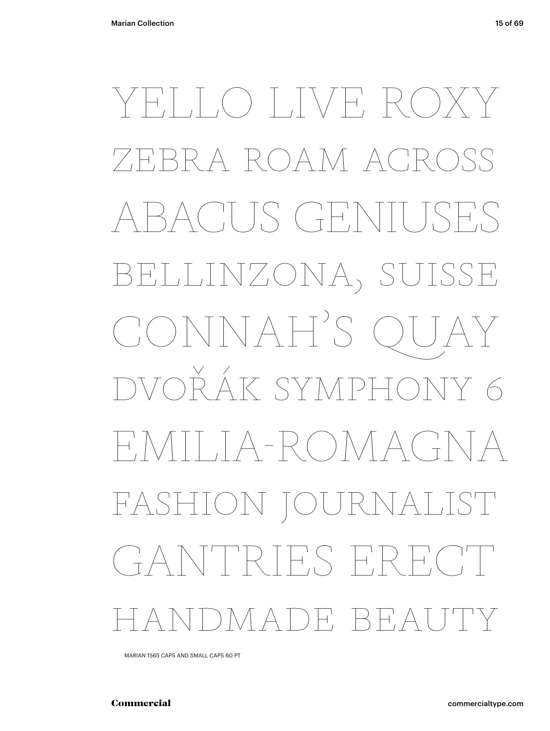# YELLO LIVE ROXY<br>ZEBRA ROAM AGROSS<br>ABACUS GENIUSES<br>BELLINZONA, SUISSE<br>CONNAH'S QUAY<br>DVOŘÁK SYMPEONY 6<br>EMILIA-ROMAGNA<br>FASHION JOURNALIST<br>GANTRIES ERECT<br>HANDMADE BEAUTY RA ROAM AC ACUS GENIUSES BELLINZONA, SUISSE CONNAH'S QUAY<br>DVOŘÁK SYMPHONY 6  $H/N$ II, $A-R$ () $NAC$ FASHION JOURNA. GANTRIES ERECT VIADE, BEAT

MARIAN 1565 CAPS AND SMALL CAPS 60 PT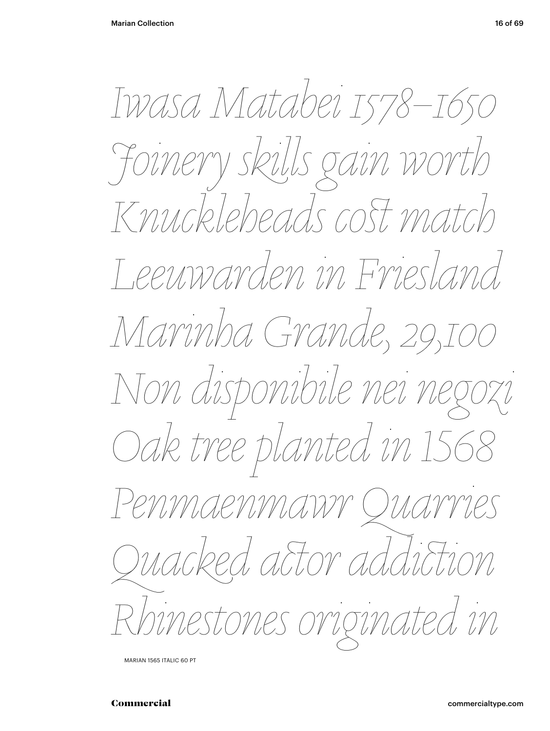Iwasa Matabei 1578–1650<br>Joinery skills gain worth<br>Comunicalists cost match<br>Commercial in Friesland<br>Marinha Grande, 29,100<br>Non disponibile nei negozi<br>Oak tree planted in 1568<br>Penmaenmawr Quarries<br>Quacked actor addiction<br>Rhi *Joinery skills gain worth Knuckleheads co match Leeuwarden in Friesland Marinha Grande, 29,100 Non disponibile nei negozi Oak tree planted in 1568 Penmaenmawr Quarries Quacked aor addiion Rhinestones originated in*

MARIAN 1565 ITALIC 60 PT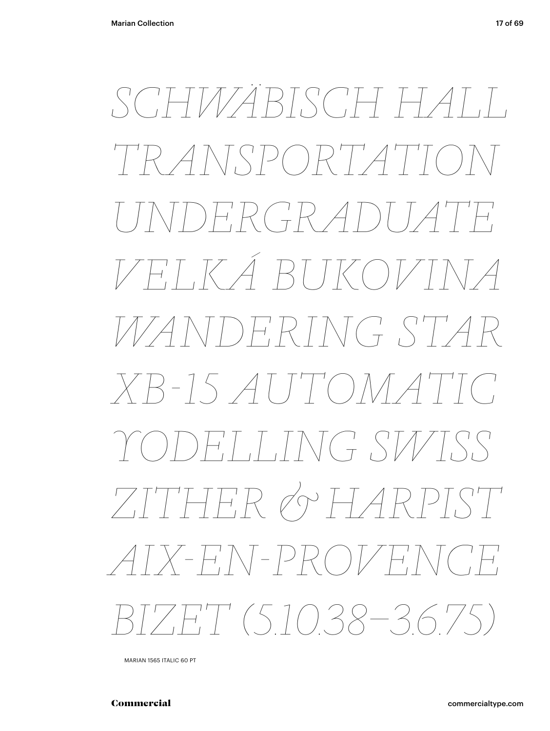SCHWÄBISCH HALL<br>TRANSPORTATION<br>UNDERGRADUATE<br>VELKÁ BUKOVINA<br>WANDERING STAR<br>XB-15 AUTOMATIC<br>YODELLING SWISS<br>ZITTIER & HARPIST<br>AIX-EN-PROVENCE<br>BIZET (510.38–3.6.75) *TRANSPORTATION UNDERGRADUATE VELKÁ BUKOVINA WANDERING STAR XB-15 AUTOMATIC YODELLING SWISS ZITHER & HARPIST AIX-FN-PROVEN BIZET (5.10.38–3.6.75)*

MARIAN 1565 ITALIC 60 PT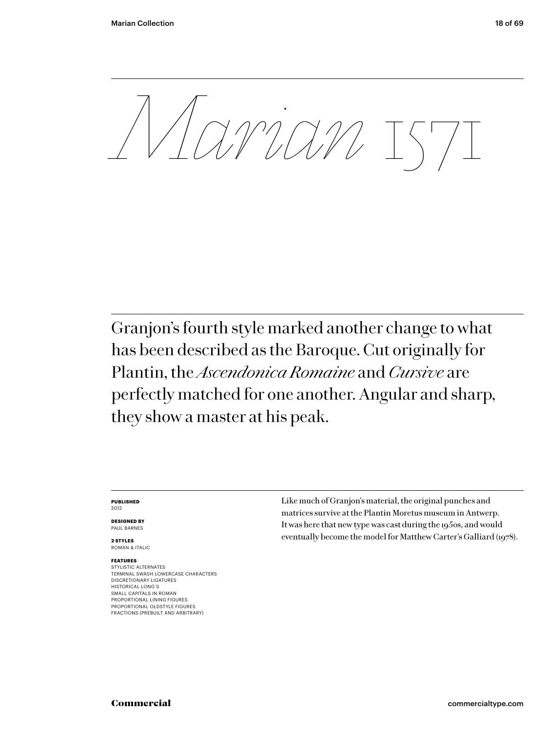Composition fourth style marked another change to what<br>
Foranjon's fourth style marked another change to what<br>
has been described as the Baroque. Cut originally for<br>
Plantin, the *Ascendonica Romaine* and *Cutxit* exere<br>
p Granjon's fourth style marked another change to what has been described as the Baroque. Cut originally for Plantin, the *Ascendonica Romaine* and *Cursive* are perfectly matched for one another. Angular and sharp, they show a master at his peak.

#### **PUBLISHED** 2012

**DESIGNED BY** PAUL BARNES

**2 STYLES** ROMAN & ITALIC

# **FEATURES**

STYLISTIC ALTERNATES TERMINAL SWASH LOWERCASE CHARACTERS DISCRETIONARY LIGATURES HISTORICAL LONG S SMALL CAPITALS IN ROMAN PROPORTIONAL LINING FIGURES PROPORTIONAL OLDSTYLE FIGURES FRACTIONS (PREBUILT AND ARBITRARY)

Like much of Granjon's material, the original punches and matrices survive at the Plantin Moretus museum in Antwerp. It was here that new type was cast during the 1950s, and would eventually become the model for Matthew Carter's Galliard (1978).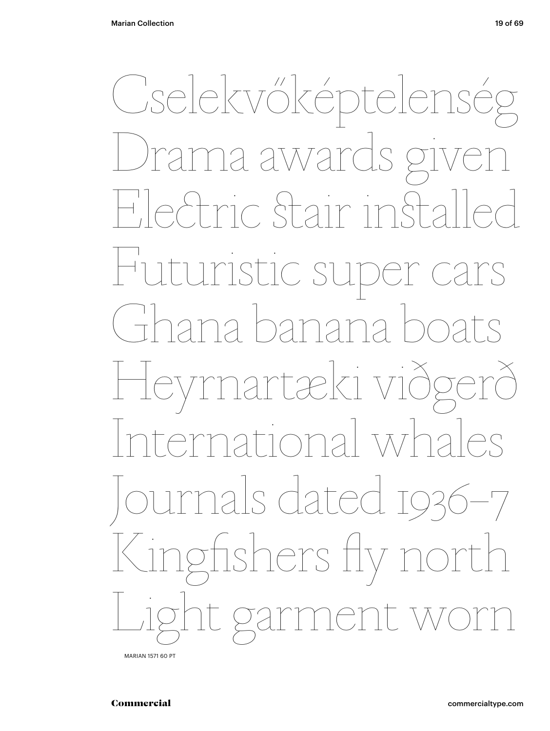Cselekvőképtelenség<br>Drama awards givon<br>Eleĉtric ŝtair inŝtalled<br>Futuristic super cars<br>Ghana banana boats<br>International whales<br>Journals dated 1936–7<br>Kingfishers fly north<br>Light garment worn Drama awards give Hectric stair install Huturistic super ca Ghana banana boats Heyrnartæki við ational whales urnals dated 1936–7 Kingfishers fly it garment

MARIAN 1571 60 PT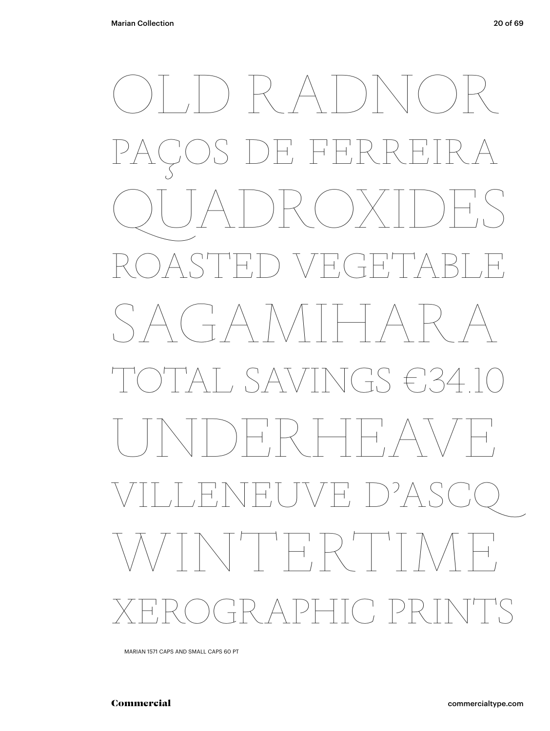# OLD RADNOR<br>Paços de ferreira<br>QUADROXIDES<br>ROASTED vegetable<br>SAGAMIHARA<br>TOTAL SAVINGS €34.10<br>UNDERHEAVE<br>VILLENEUVE D'ASQQ<br>WINTERTIME<br>XEROGRAPHIC PRINTS E FERRE QUADROXIDES ROASTED VEGETABLE SAGAMIHARA AT, SAVINGS €34.10 H. A V H. VILLENEUVE D'ASCQ WINTERTIME XEROGRAPHIC PRINTS

MARIAN 1571 CAPS AND SMALL CAPS 60 PT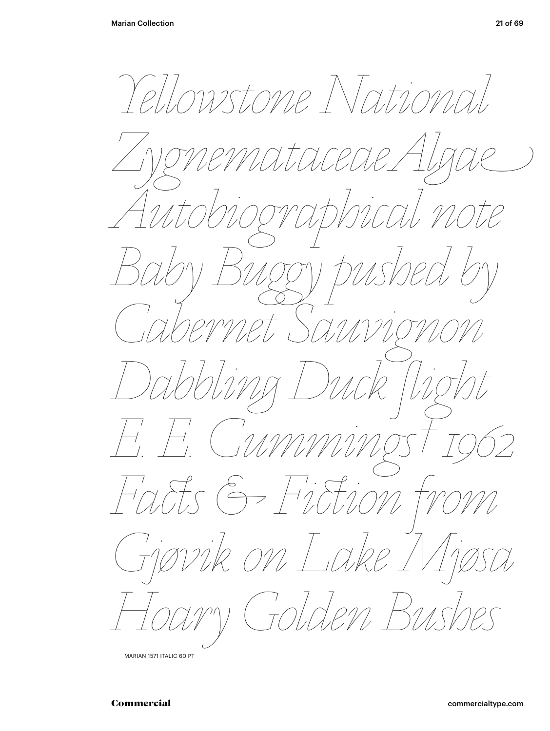Tellowstone National<br>Zygnemataceae Algae<br>Autobiographical note<br>Baby Buggy pushed by<br>Cabernet Sauvignon<br>Dabbling Duck [light<br>E. E. Cummings] 1962<br>Hoary Golden Bushes<br>Hoary Golden Bushes *ZygnemataceaeAlgae Autobiographical note Baby Bu pushed by Cabernet Sauvignon Dabbling Duck ight E. E. Cummings† 1962 Fas & Fiion from Gjøvik on Lake Mjøsa Hoary Golden Bushes*

MARIAN 1571 ITALIC 60 PT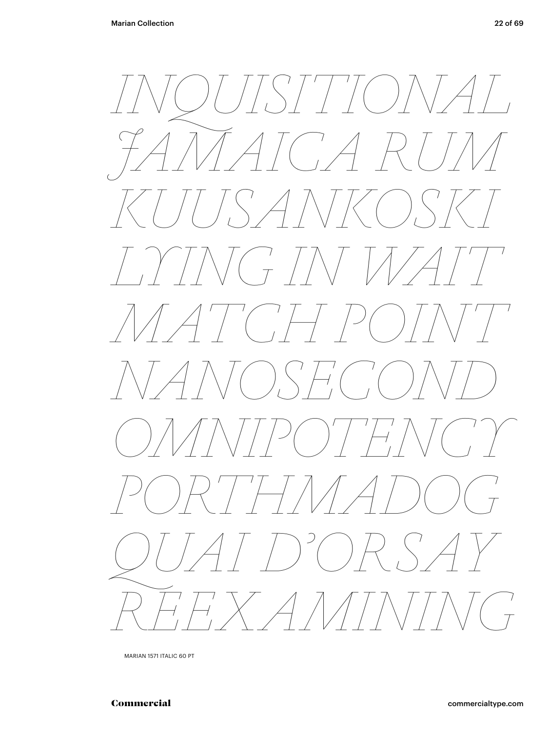

MARIAN 1571 ITALIC 60 PT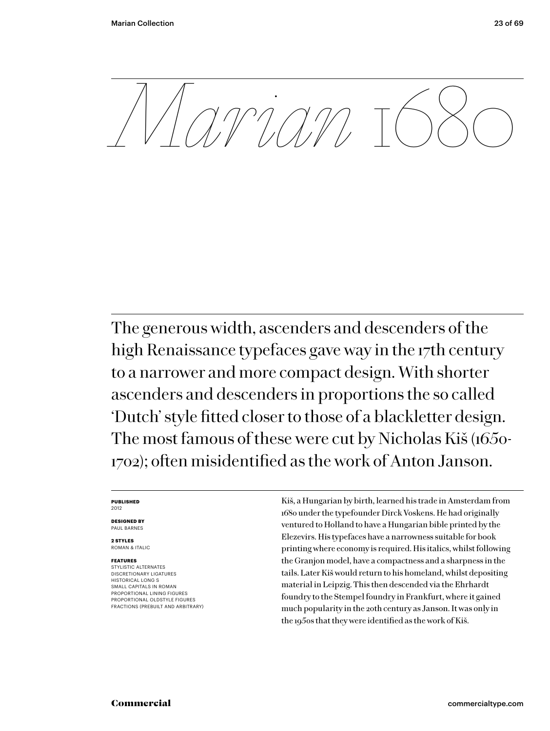Commercial<br>
Commercial<br>
Commercial<br>
Commercial<br>
Commercial<br>
Commercial<br>
Commercial<br>
Commercial<br>
Commercial<br>
Commercial<br>
Commercial<br>
Commercial<br>
Commercial<br>
Commercial<br>
Commercial<br>
Commercial<br>
Commercial<br>
Commercial<br>
Commer The generous width, ascenders and descenders of the high Renaissance typefaces gave way in the 17th century to a narrower and more compact design. With shorter ascenders and descenders in proportions the so called 'Dutch' style tted closer to those of a blackletter design. The most famous of these were cut by Nicholas Kiš (1650- 1702); often misidentified as the work of Anton Janson.

#### **PUBLISHED** 2012

**DESIGNED BY** PAUL BARNES

**2 STYLES** ROMAN & ITALIC

### **FEATURES**

STYLISTIC ALTERNATES DISCRETIONARY LIGATURES HISTORICAL LONG S SMALL CAPITALS IN ROMAN PROPORTIONAL LINING FIGURES PROPORTIONAL OLDSTYLE FIGURES FRACTIONS (PREBUILT AND ARBITRARY) Kiš, a Hungarian by birth, learned his trade in Amsterdam from 1680 under the typefounder Dirck Voskens. He had originally ventured to Holland to have a Hungarian bible printed by the Elezevirs. His typefaces have a narrowness suitable for book printing where economy is required. His italics, whilst following the Granjon model, have a compactness and a sharpness in the tails. Later Kiš would return to his homeland, whilst depositing material in Leipzig. This then descended via the Ehrhardt foundry to the Stempel foundry in Frankfurt, where it gained much popularity in the 20th century as Janson. It was only in the 1950s that they were identified as the work of Kiš.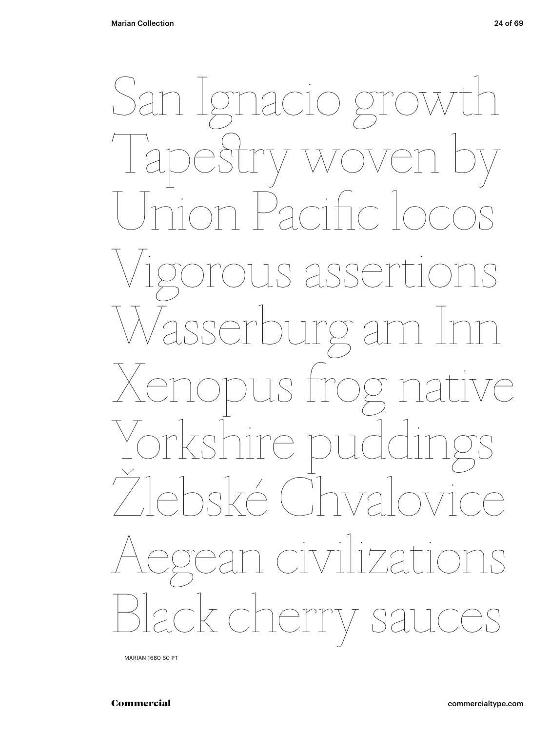

MARIAN 1680 60 PT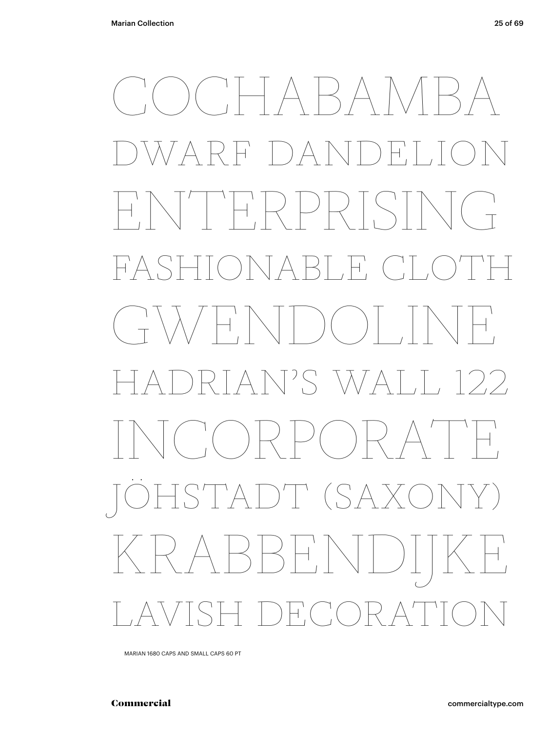COCHABAMBA<br>DWARF DANDELION<br>ENTERPRISING<br>FASHIONABLE CLOTH<br>GWENDOLINE<br>HADRIAN'S WALL 122<br>INCORPORATIE<br>JÖHSTADT (SAXONY)<br>KRABBENIDIJKE<br>LAVISH DECORATION DWARF DANDELION ENTERPRISING FASHIONABLE CLOTH GWENDOLINE HADRIAN'S WALL 122 INCORPORATE HSTADT (SAX BREIN DECC

MARIAN 1680 CAPS AND SMALL CAPS 60 PT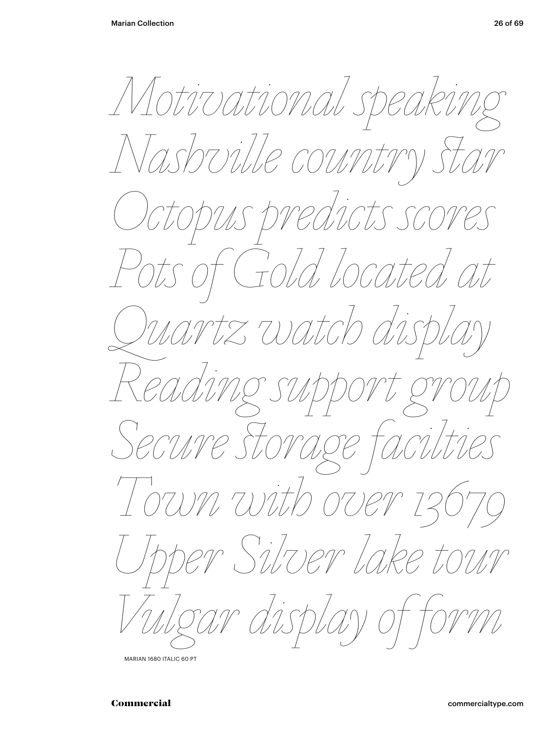Motivational speaking<br>Nashville country star<br>Octopus predicts scores<br>Pots of Gold located at<br>Reading support group<br>Secure slorage facilies<br>Town with over 13679<br>Upper Silver lake tour<br>Vulgar display of form *Nashville country ar Octopus predicts scores Pots of Gold located at Quartz watch display Reading support group Secure orage facilties Town with over 13679 Upper Silver lake tour Vulgar display of form*

MARIAN 1680 ITALIC 60 PT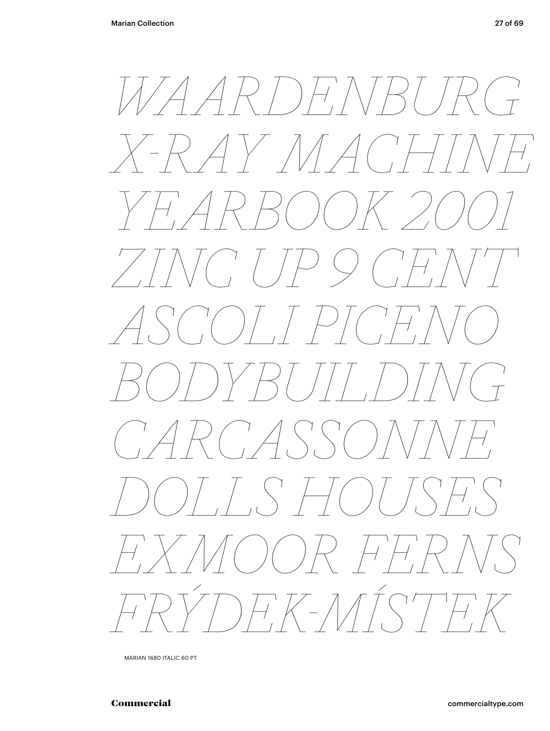

MARIAN 1680 ITALIC 60 PT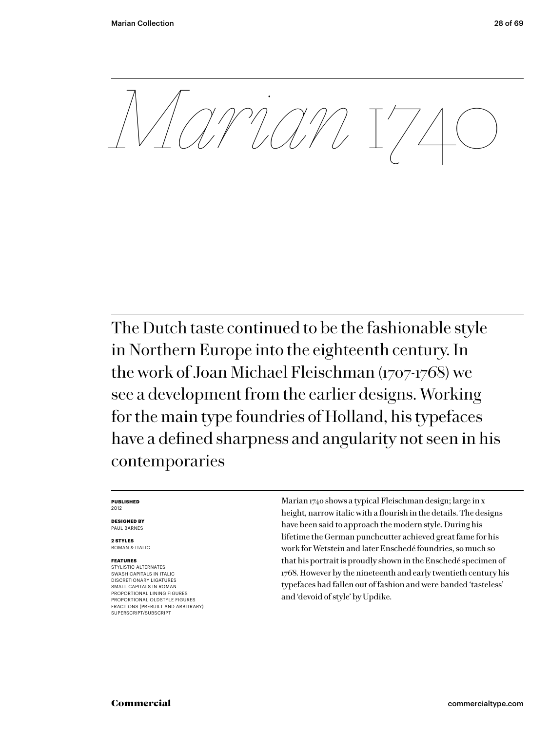Commercial<br>
Commercial<br>
Commercial<br>
Commercial<br>
Commercial<br>
Commercial<br>
Commercial<br>
Commercial<br>
Commercial<br>
Commercial<br>
Commercial<br>
Commercial<br>
Commercial<br>
Commercial<br>
Commercial<br>
Commercial<br>
Commercial<br>
Commercial<br>
Commer The Dutch taste continued to be the fashionable style in Northern Europe into the eighteenth century. In the work of Joan Michael Fleischman (1707-1768) we see a development from the earlier designs. Working for the main type foundries of Holland, his typefaces have a defined sharpness and angularity not seen in his contemporaries

#### **PUBLISHED** 2012

**DESIGNED BY** PAUL BARNES

**2 STYLES** ROMAN & ITALIC

### **FEATURES**

STYLISTIC ALTERNATES SWASH CAPITALS IN ITALIC DISCRETIONARY LIGATURES SMALL CAPITALS IN ROMAN PROPORTIONAL LINING FIGURES PROPORTIONAL OLDSTYLE FIGURES FRACTIONS (PREBUILT AND ARBITRARY) SUPERSCRIPT/SUBSCRIPT

Marian 1740 shows a typical Fleischman design; large in x height, narrow italic with a flourish in the details. The designs have been said to approach the modern style. During his lifetime the German punchcutter achieved great fame for his work for Wetstein and later Enschedé foundries, so much so that his portrait is proudly shown in the Enschedé specimen of 1768. However by the nineteenth and early twentieth century his typefaces had fallen out of fashion and were banded 'tasteless' and 'devoid of style' by Updike.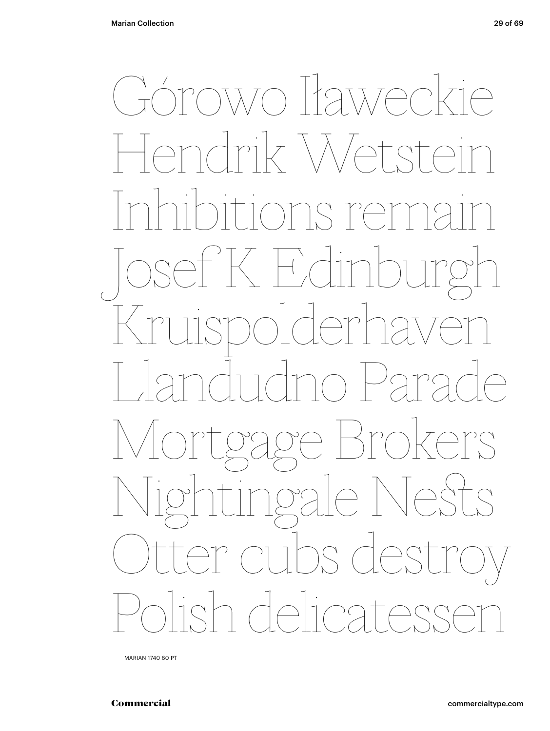

MARIAN 1740 60 PT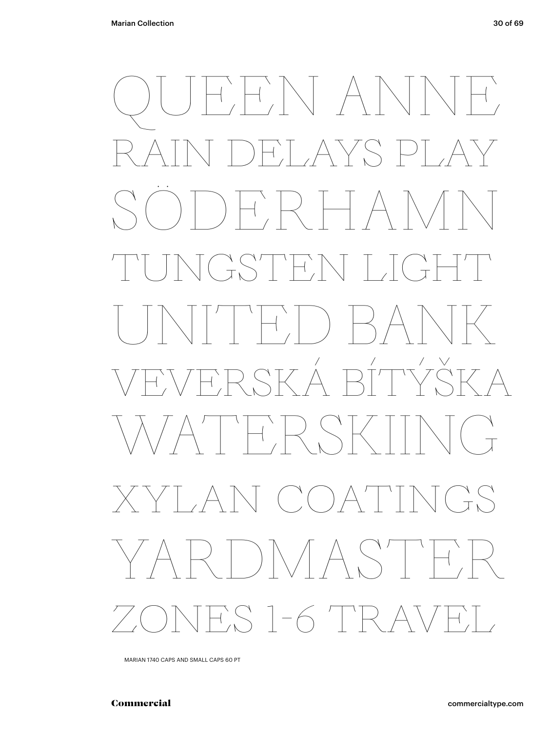QUEEN ANNE<br>RAIN DELAYS PLAY<br>SODERHAMN<br>TUNITED BANK<br>VEVERSKÁ BÍTÝŠKA<br>WATERSKIING<br>XYLAN COATINGS<br>YARDMASTER<br>ZONES 1-6 TRAVEL RAIN DELAYS PLAY SÖDERHAMN TUNGSTEN LIGHT UNITED BANK VEVERSKÁ BÍTÝŠKA  $A'$  H,  $R$  SF  $A\setminus C\cap A$ YARDMASTER 7.S 1-6 TRA

MARIAN 1740 CAPS AND SMALL CAPS 60 PT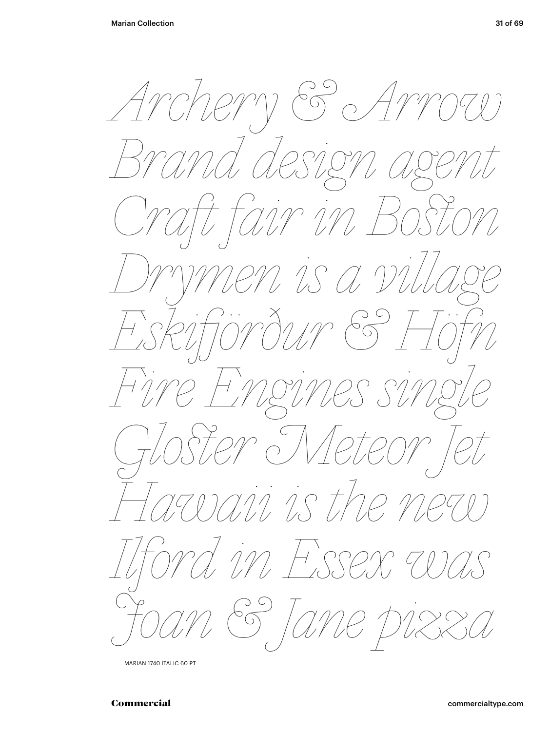Archery & Arrow<br>Brand design agent<br>Craft fair in Boston<br>Drymen is a village<br>Eskifjörður & Höfn<br>Fine Fngines single<br>Hoster Meteor fet<br>Iford in Essex was<br>Joan & Jane pizza *Brand design agent Craft fair in Boon Drymen is a village Eskiörður & Höfn Fire Engines single Gloer Meteor Jet Hawaii is the new Ilford in Essex was Joan & Jane pizza*

MARIAN 1740 ITALIC 60 PT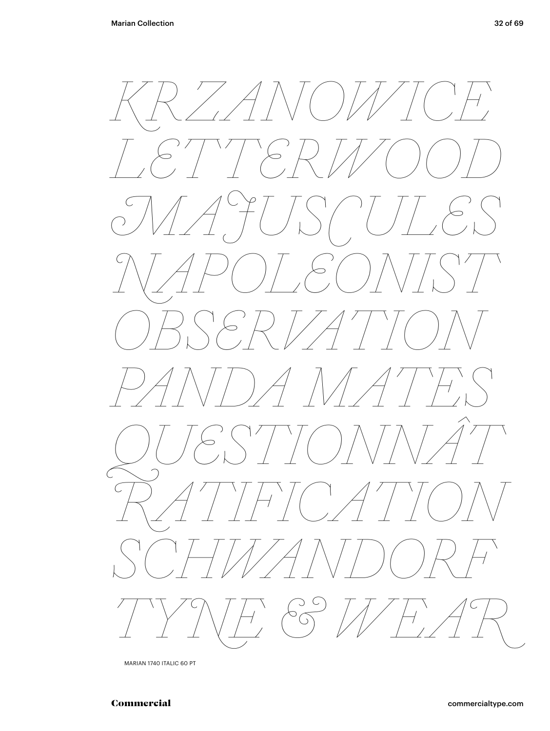

MARIAN 1740 ITALIC 60 PT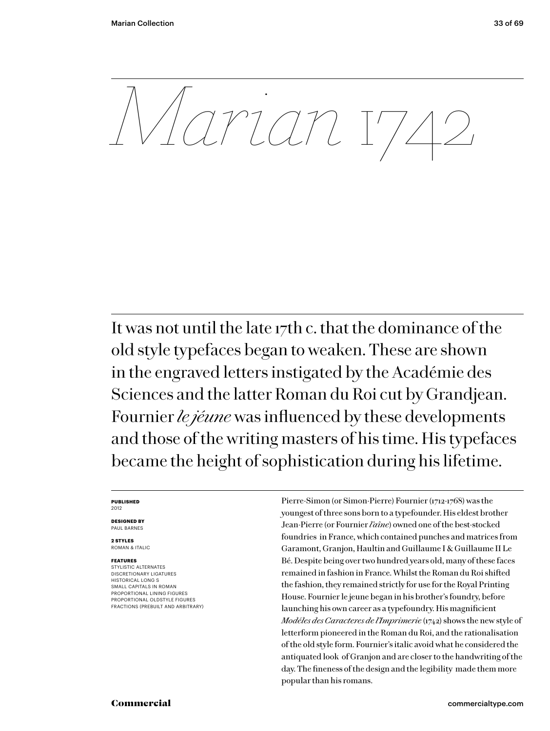Europe Commercial Commercial<br>
Commercial<br>
Commercial<br>
Commercial<br>
Commercial<br>
Commercial<br>
Commercial<br>
Commercial<br>
Commercial<br>
Commercial<br>
Commercial<br>
Commercial<br>
Commercial<br>
Commercial<br>
Commercial<br>
Commercial<br>
Commercial<br> It was not until the late 17th c. that the dominance of the old style typefaces began to weaken. These are shown in the engraved letters instigated by the Académie des Sciences and the latter Roman du Roi cut by Grandjean. Fournier *le jéune* was influenced by these developments and those of the writing masters of his time. His typefaces became the height of sophistication during his lifetime.

#### **PUBLISHED** 2012

**DESIGNED BY** PAUL BARNES

**2 STYLES** ROMAN & ITALIC

### **FEATURES**

STYLISTIC ALTERNATES DISCRETIONARY LIGATURES HISTORICAL LONG S SMALL CAPITALS IN ROMAN PROPORTIONAL LINING FIGURES PROPORTIONAL OLDSTYLE FIGURES FRACTIONS (PREBUILT AND ARBITRARY) Pierre-Simon (or Simon-Pierre) Fournier (1712-1768) was the youngest of three sons born to a typefounder. His eldest brother Jean-Pierre (or Fournier *l'aîne*) owned one of the best-stocked foundries in France, which contained punches and matrices from Garamont, Granjon, Haultin and Guillaume I & Guillaume II Le Bé. Despite being over two hundred years old, many of these faces remained in fashion in France. Whilst the Roman du Roi shifted the fashion, they remained strictly for use for the Royal Printing House. Fournier le jeune began in his brother's foundry, before launching his own career as a typefoundry. His magnicient *Modéles des Caracteres de l'Imprimerie* (1742) shows the new style of letterform pioneered in the Roman du Roi, and the rationalisation of the old style form. Fournier's italic avoid what he considered the antiquated look of Granjon and are closer to the handwriting of the day. The fineness of the design and the legibility made them more popular than his romans.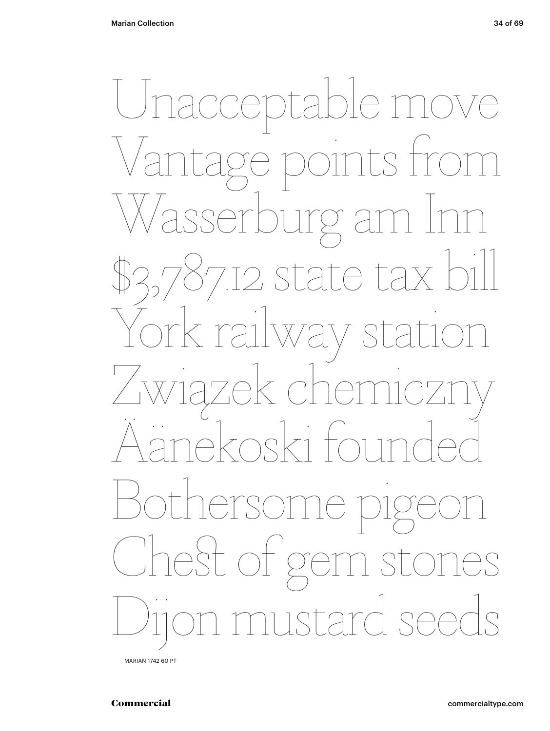Unacceptable move<br>Vantage points from<br>Wasserburg am Inn<br>\$3,787.12 state tax bill<br>York railway station<br>Związek chemiczny<br>Aänekoski founded<br>Bothersome pigeon<br>Chest of gem stones<br>Dijon mustard seeds Vantage points from Wasserburg am Inn %7.12 state tax b  $\zeta$  railway Związek chemiczny Juk Une.<br>Zoeki foi SON Chest of gem stones Dijon mustard seeds

MARIAN 1742 60 PT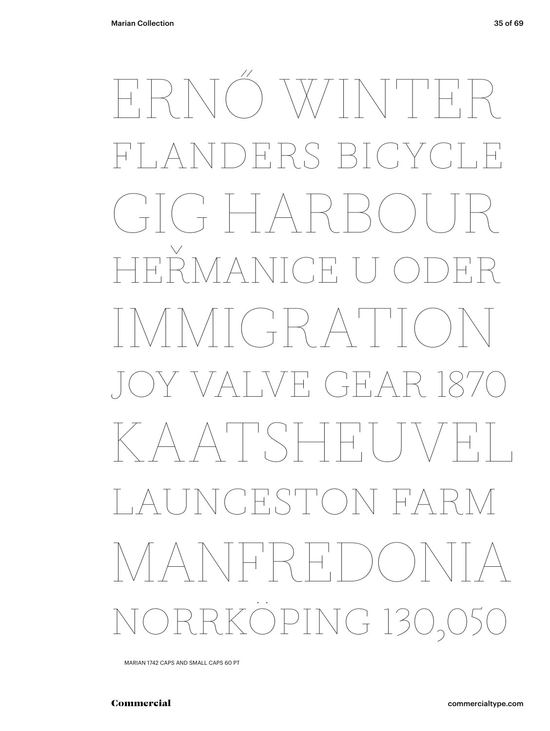# ERNÓ WINTER<br>Flanders bicycle<br>GIG HARBOUR<br>heřmanice u oder<br>IMMIGRATION<br>joy valve gear 1870<br>KAATSHEUVEL<br>launceston farm<br>MANFREDONIA<br>norrköping 130,050 FLANDERS BICYCLE  $\begin{pmatrix} 1 \\ 1 \end{pmatrix} \begin{pmatrix} 1 \\ 1 \end{pmatrix} \begin{pmatrix} 1 \\ -1 \end{pmatrix}$ HEŘMANICE U ODER MIGRATT ALVE GE KAATSHEU CESTON F MANFREDONIA PING 130,050

MARIAN 1742 CAPS AND SMALL CAPS 60 PT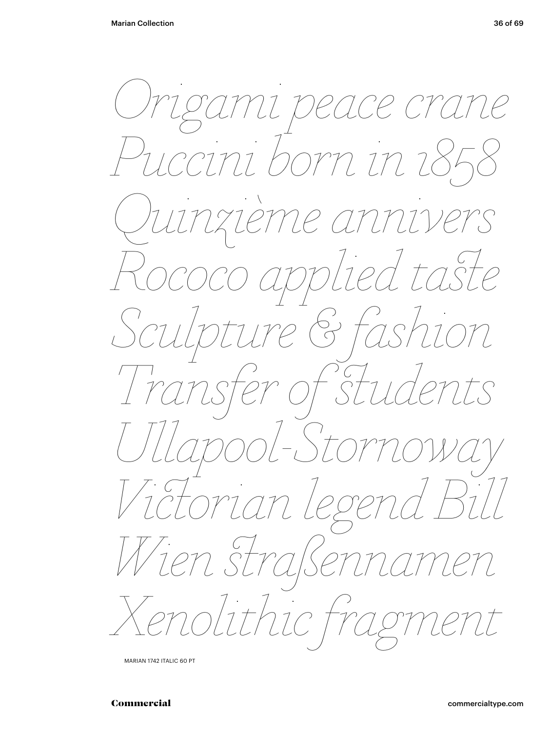Origami peace crane<br>Puccini born in 1858<br>Quinzième annivers<br>Rococo applied taste<br>Sculpture & fashion<br>Victorian legend Bill<br>Victorian legend Bill<br>Wien straßennamen<br>Xenolithic fragment *Puccini born in 1858 Quinzième annivers Rococo applied tae Sculpture & fashion Transfer of udents Ullapool-Stornoway Viorian legend Bill Wien raßennamen Xenolithic fragment*

MARIAN 1742 ITALIC 60 PT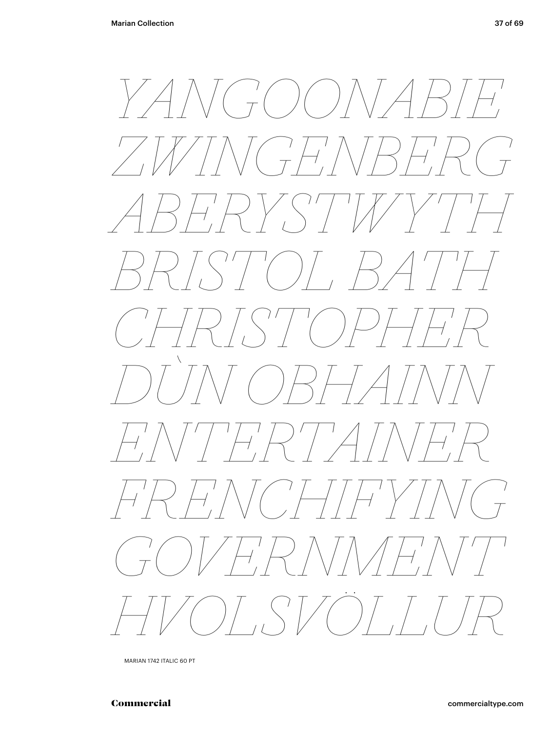

MARIAN 1742 ITALIC 60 PT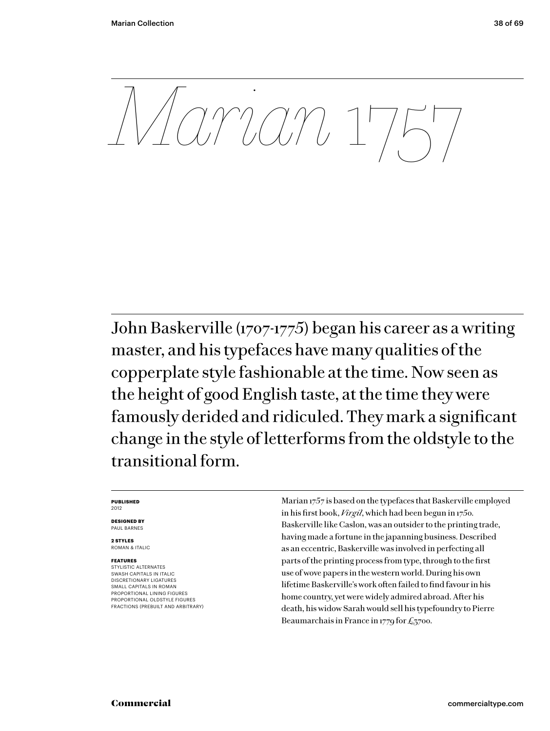Commercial<br>
Commercial<br>
Commercial<br>
Commercial<br>
Commercial<br>
Commercial<br>
Commercial<br>
Commercial<br>
Commercial<br>
Commercial<br>
Commercial<br>
Commercial<br>
Commercial<br>
Commercial<br>
Commercial<br>
Commercial<br>
Commercial<br>
Commercial<br>
Commer John Baskerville (1707-1775) began his career as a writing master, and his typefaces have many qualities of the copperplate style fashionable at the time. Now seen as the height of good English taste, at the time they were famously derided and ridiculed. They mark a significant change in the style of letterforms from the oldstyle to the transitional form.

#### **PUBLISHED** 2012

**DESIGNED BY** PAUL BARNES

**2 STYLES** ROMAN & ITALIC

#### **FEATURES**

STYLISTIC ALTERNATES SWASH CAPITALS IN ITALIC DISCRETIONARY LIGATURES SMALL CAPITALS IN ROMAN PROPORTIONAL LINING FIGURES PROPORTIONAL OLDSTYLE FIGURES FRACTIONS (PREBUILT AND ARBITRARY) Marian 1757 is based on the typefaces that Baskerville employed in his first book, *Virgil*, which had been begun in 1750. Baskerville like Caslon, was an outsider to the printing trade, having made a fortune in the japanning business. Described as an eccentric, Baskerville was involved in perfecting all parts of the printing process from type, through to the first use of wove papers in the western world. During his own lifetime Baskerville's work often failed to find favour in his home country, yet were widely admired abroad. After his death, his widow Sarah would sell his typefoundry to Pierre Beaumarchais in France in 1779 for £3700.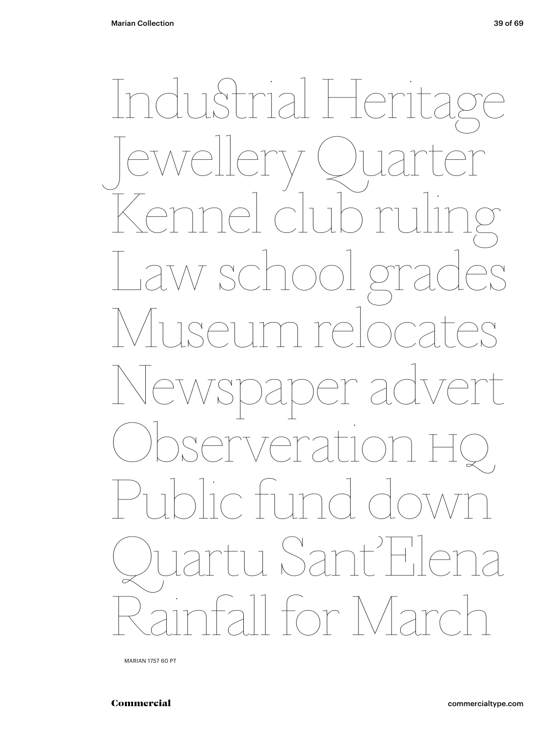Industrial Heritage<br>Jewellery Quarter<br>Kennel club ruling<br>Law school grades<br>Museum relocates<br>Newspaper advert<br>Observeration HQ<br>Public fund down<br>Quartu Sant'Elena<br>Rainfall for March Jewellery Quarter Kennel club ruling Law school grades Museum relocates Newspaper advert Observeration HQ  $P$ u Sant'Hlei all for Marc

MARIAN 1757 60 PT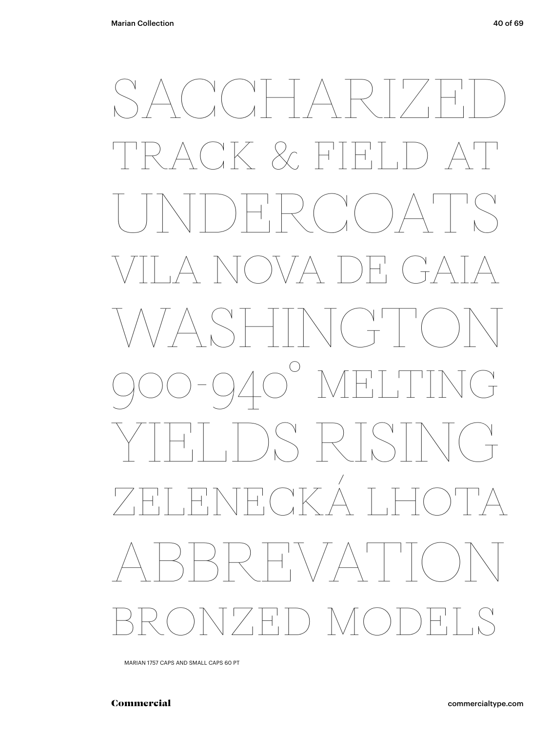

MARIAN 1757 CAPS AND SMALL CAPS 60 PT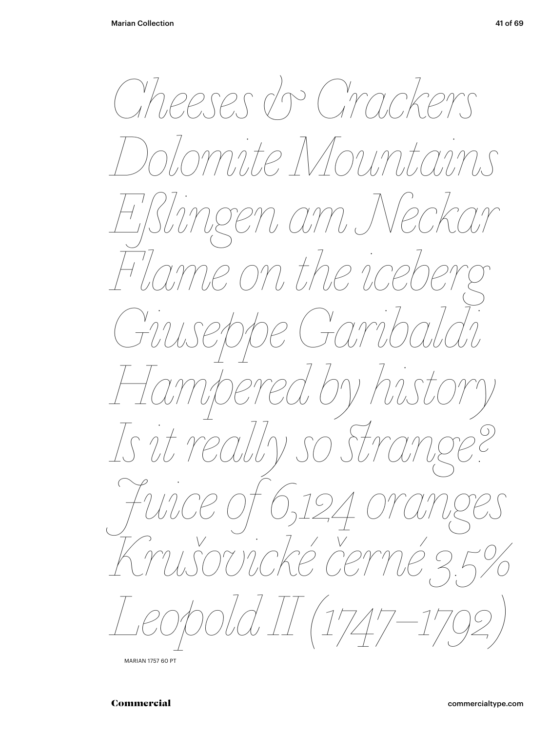

MARIAN 1757 60 PT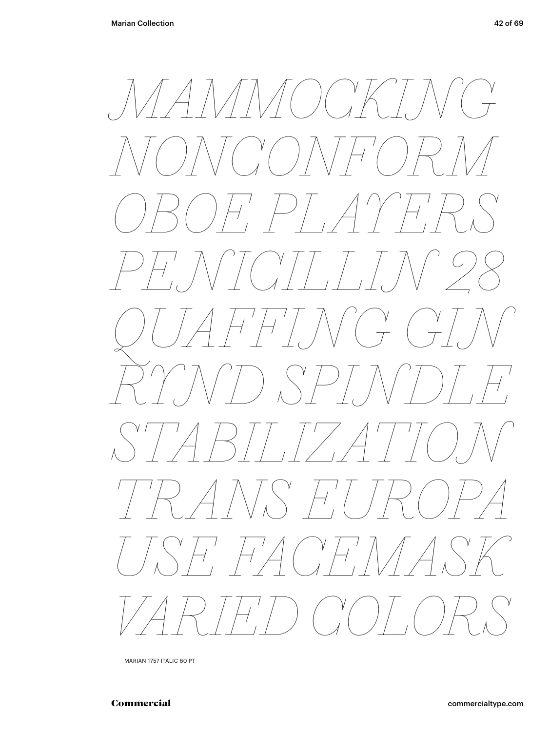

MARIAN 1757 ITALIC 60 PT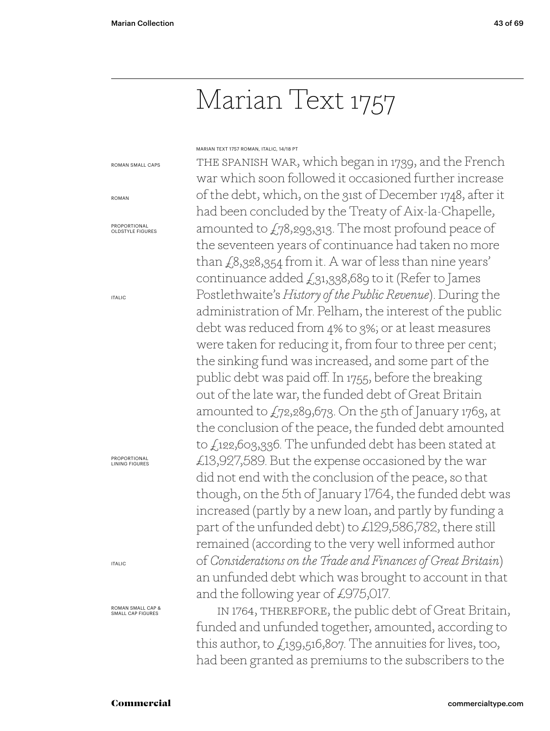# Marian Text 1757

ROMAN SMALL CAPS

ROMAN

PROPORTIONAL OLDSTYLE FIGURES

ITALIC

PROPORTIONAL LINING FIGURES

ITALIC

ROMAN SMALL CAP & SMALL CAP FIGURES

the spanish war, which began in 1739, and the French war which soon followed it occasioned further increase of the debt, which, on the 31st of December 1748, after it had been concluded by the Treaty of Aix-la-Chapelle*,* amounted to £78,293,313. The most profound peace of the seventeen years of continuance had taken no more than  $\zeta$ 8,328,354 from it. A war of less than nine years' continuance added  $f_{31,33}8,689$  to it (Refer to James Postlethwaite's *History of the Public Revenue*). During the administration of Mr. Pelham, the interest of the public debt was reduced from 4% to 3%; or at least measures were taken for reducing it, from four to three per cent; the sinking fund was increased, and some part of the public debt was paid off. In 1755, before the breaking out of the late war, the funded debt of Great Britain amounted to £72,289,673. On the 5th of January 1763, at the conclusion of the peace, the funded debt amounted to £122,603,336. The unfunded debt has been stated at £13,927,589. But the expense occasioned by the war did not end with the conclusion of the peace, so that though, on the 5th of January 1764, the funded debt was increased (partly by a new loan, and partly by funding a part of the unfunded debt) to £129,586,782, there still remained (according to the very well informed author of *Considerations on the Trade and Finances of Great Britain*) an unfunded debt which was brought to account in that and the following year of £975,017. MARIAN TEXT 1757 ROMAN, ITALIC, 14/18 PT

IN 1764, THEREFORE, the public debt of Great Britain, funded and unfunded together, amounted, according to this author, to  $f(139, 516, 807)$ . The annuities for lives, too, had been granted as premiums to the subscribers to the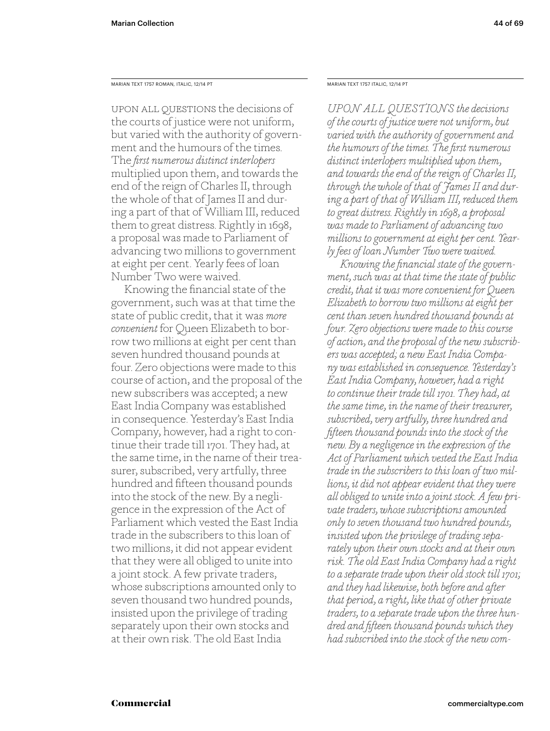MARIAN TEXT 1757 ROMAN, ITALIC, 12/14 PT MARIAN TEXT 1757 ITALIC, 12/14 PT

Upon all questions the decisions of the courts of justice were not uniform, but varied with the authority of government and the humours of the times. The *first numerous distinct interlopers*  multiplied upon them, and towards the end of the reign of Charles II, through the whole of that of James II and during a part of that of William III, reduced them to great distress. Rightly in 1698, a proposal was made to Parliament of advancing two millions to government at eight per cent. Yearly fees of loan Number Two were waived.

Knowing the financial state of the government, such was at that time the state of public credit, that it was *more convenient* for Queen Elizabeth to borrow two millions at eight per cent than seven hundred thousand pounds at four. Zero objections were made to this course of action, and the proposal of the new subscribers was accepted; a new East India Company was established in consequence. Yesterday's East India Company, however, had a right to continue their trade till 1701. They had, at the same time, in the name of their treasurer, subscribed, very artfully, three hundred and fifteen thousand pounds into the stock of the new. By a negligence in the expression of the Act of Parliament which vested the East India trade in the subscribers to this loan of two millions, it did not appear evident that they were all obliged to unite into a joint stock. A few private traders, whose subscriptions amounted only to seven thousand two hundred pounds, insisted upon the privilege of trading separately upon their own stocks and at their own risk. The old East India

*UPON ALL QUESTIONS the decisions of the courts of justice were not uniform, but varied with the authority of government and the humours of the times. The first numerous distinct interlopers multiplied upon them, and towards the end of the reign of Charles II, through the whole of that of James II and during a part of that of William III, reduced them to great distress. Rightly in 1698, a proposal was made to Parliament of advancing two millions to government at eight per cent. Yearly fees of loan Number Two were waived.*

*Knowing the financial state of the government, such was at that time the state of public credit, that it was more convenient for Queen Elizabeth to borrow two millions at eight per cent than seven hundred thousand pounds at four. Zero objections were made to this course of action, and the proposal of the new subscribers was accepted; a new East India Company was established in consequence. Yesterday's East India Company, however, had a right to continue their trade till 1701. They had, at the same time, in the name of their treasurer, subscribed, very artfully, three hundred and fifteen thousand pounds into the stock of the new. By a negligence in the expression of the Act of Parliament which vested the East India trade in the subscribers to this loan of two millions, it did not appear evident that they were all obliged to unite into a joint stock. A few private traders, whose subscriptions amounted only to seven thousand two hundred pounds, insisted upon the privilege of trading separately upon their own stocks and at their own risk. The old East India Company had a right to a separate trade upon their old stock till 1701; and they had likewise, both before and after that period, a right, like that of other private traders, to a separate trade upon the three hundred and fifteen thousand pounds which they had subscribed into the stock of the new com-*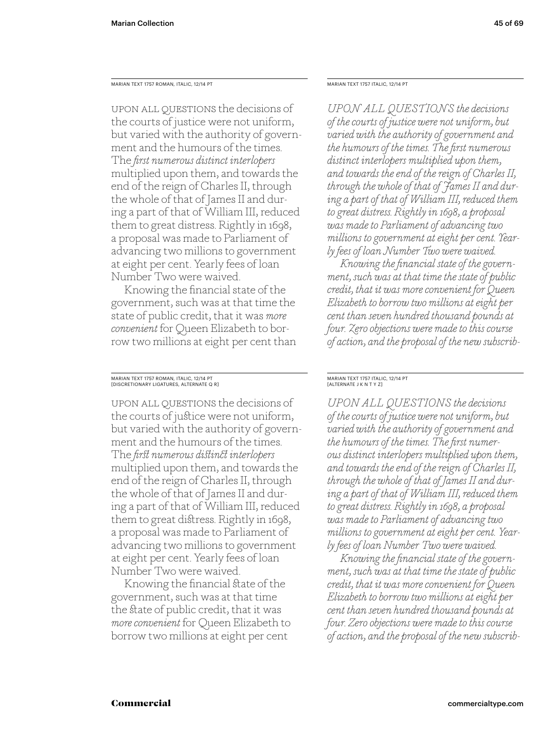MARIAN TEXT 1757 ROMAN, ITALIC, 12/14 PT

Upon all questions the decisions of the courts of justice were not uniform, but varied with the authority of government and the humours of the times. The *first numerous distinct interlopers*  multiplied upon them, and towards the end of the reign of Charles II, through the whole of that of James II and during a part of that of William III, reduced them to great distress. Rightly in 1698, a proposal was made to Parliament of advancing two millions to government at eight per cent. Yearly fees of loan Number Two were waived.

Knowing the financial state of the government, such was at that time the state of public credit, that it was *more convenient* for Queen Elizabeth to borrow two millions at eight per cent than

# MARIAN TEXT 1757 ROMAN, ITALIC, 12/14 PT [DISCRETIONARY LIGATURES, ALTERNATE Q R]

Upon all questions the decisions of the courts of justice were not uniform, but varied with the authority of government and the humours of the times. The *first numerous distinct interlopers* multiplied upon them, and towards the end of the reign of Charles II, through the whole of that of James II and during a part of that of William III, reduced them to great distress. Rightly in 1698, a proposal was made to Parliament of advancing two millions to government at eight per cent. Yearly fees of loan Number Two were waived.

Knowing the financial state of the government, such was at that time the state of public credit, that it was *more convenient* for Queen Elizabeth to borrow two millions at eight per cent

MARIAN TEXT 1757 ITALIC, 12/14 PT

*UPON ALL QUESTIONS the decisions of the courts of justice were not uniform, but varied with the authority of government and the humours of the times. The first numerous distinct interlopers multiplied upon them, and towards the end of the reign of Charles II, through the whole of that of James II and during a part of that of William III, reduced them to great distress. Rightly in 1698, a proposal was made to Parliament of advancing two millions to government at eight per cent. Yearly fees of loan Number Two were waived.*

*Knowing the financial state of the government, such was at that time the state of public credit, that it was more convenient for Queen Elizabeth to borrow two millions at eight per cent than seven hundred thousand pounds at four. Zero objections were made to this course of action, and the proposal of the new subscrib-*

# MARIAN TEXT 1757 ITALIC, 12/14 PT [ALTERNATE J K N T Y Z]

*UPON ALL QUESTIONS the decisions of the courts of justice were not uniform, but varied with the authority of government and the humours of the times. The first numerous distinct interlopers multiplied upon them, and towards the end of the reign of Charles II, through the whole of that of James II and during a part of that of William III, reduced them to great distress. Rightly in 1698, a proposal was made to Parliament of advancing two millions to government at eight per cent. Yearly fees of loan Number Two were waived.*

*Knowing the financial state of the government, such was at that time the state of public credit, that it was more convenient for Queen Elizabeth to borrow two millions at eight per cent than seven hundred thousand pounds at four. Zero objections were made to this course of action, and the proposal of the new subscrib-*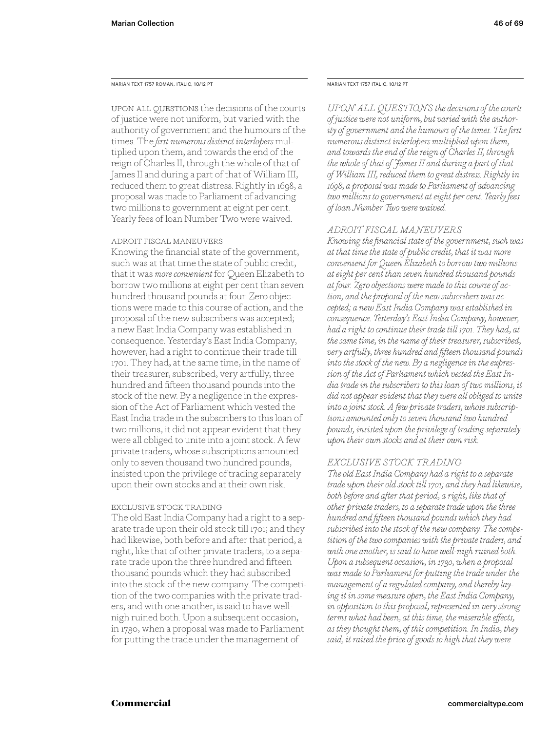MARIAN TEXT 1757 ROMAN, ITALIC, 10/12 PT MARIAN TEXT 1757 ITALIC, 10/12 PT

Upon all questions the decisions of the courts of justice were not uniform, but varied with the authority of government and the humours of the times. The *first numerous distinct interlopers* multiplied upon them, and towards the end of the reign of Charles II, through the whole of that of James II and during a part of that of William III, reduced them to great distress. Rightly in 1698, a proposal was made to Parliament of advancing two millions to government at eight per cent. Yearly fees of loan Number Two were waived.

#### Adroit Fiscal Maneuvers

Knowing the financial state of the government, such was at that time the state of public credit, that it was *more convenient* for Queen Elizabeth to borrow two millions at eight per cent than seven hundred thousand pounds at four. Zero objections were made to this course of action, and the proposal of the new subscribers was accepted; a new East India Company was established in consequence. Yesterday's East India Company, however, had a right to continue their trade till 1701. They had, at the same time, in the name of their treasurer, subscribed, very artfully, three hundred and fifteen thousand pounds into the stock of the new. By a negligence in the expression of the Act of Parliament which vested the East India trade in the subscribers to this loan of two millions, it did not appear evident that they were all obliged to unite into a joint stock. A few private traders, whose subscriptions amounted only to seven thousand two hundred pounds, insisted upon the privilege of trading separately upon their own stocks and at their own risk.

### Exclusive Stock Trading

The old East India Company had a right to a separate trade upon their old stock till 1701; and they had likewise, both before and after that period, a right, like that of other private traders, to a separate trade upon the three hundred and fifteen thousand pounds which they had subscribed into the stock of the new company. The competition of the two companies with the private traders, and with one another, is said to have wellnigh ruined both. Upon a subsequent occasion, in 1730, when a proposal was made to Parliament for putting the trade under the management of

*UPON ALL QUESTIONS the decisions of the courts of justice were not uniform, but varied with the authority of government and the humours of the times. The first numerous distinct interlopers multiplied upon them, and towards the end of the reign of Charles II, through the whole of that of James II and during a part of that of William III, reduced them to great distress. Rightly in 1698, a proposal was made to Parliament of advancing two millions to government at eight per cent. Yearly fees of loan Number Two were waived.*

#### *ADROIT FISCAL MANEUVERS*

*Knowing the financial state of the government, such was at that time the state of public credit, that it was more convenient for Queen Elizabeth to borrow two millions at eight per cent than seven hundred thousand pounds at four. Zero objections were made to this course of action, and the proposal of the new subscribers was accepted; a new East India Company was established in consequence. Yesterday's East India Company, however, had a right to continue their trade till 1701. They had, at the same time, in the name of their treasurer, subscribed, very artfully, three hundred and fifteen thousand pounds into the stock of the new. By a negligence in the expression of the Act of Parliament which vested the East India trade in the subscribers to this loan of two millions, it did not appear evident that they were all obliged to unite into a joint stock. A few private traders, whose subscriptions amounted only to seven thousand two hundred pounds, insisted upon the privilege of trading separately upon their own stocks and at their own risk.* 

#### *EXCLUSIVE STOCK TRADING*

*The old East India Company had a right to a separate trade upon their old stock till 1701; and they had likewise, both before and after that period, a right, like that of other private traders, to a separate trade upon the three hundred and fifteen thousand pounds which they had subscribed into the stock of the new company. The competition of the two companies with the private traders, and with one another, is said to have well-nigh ruined both. Upon a subsequent occasion, in 1730, when a proposal was made to Parliament for putting the trade under the management of a regulated company, and thereby laying it in some measure open, the East India Company, in opposition to this proposal, represented in very strong terms what had been, at this time, the miserable effects, as they thought them, of this competition. In India, they said, it raised the price of goods so high that they were*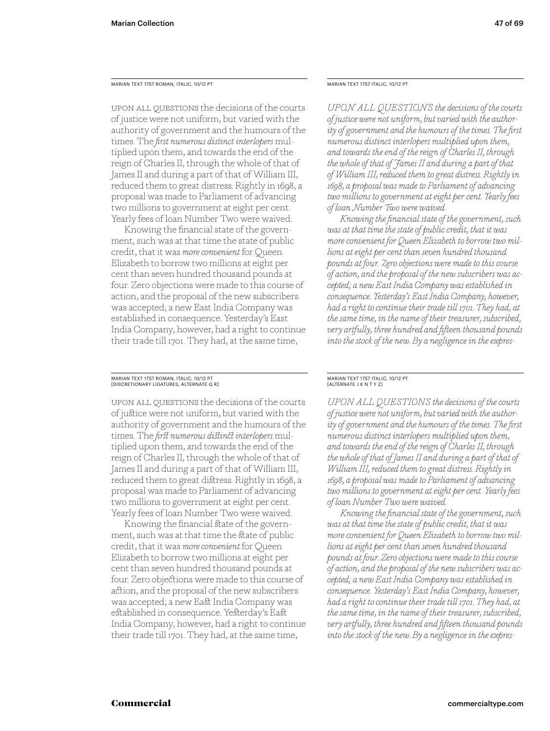MARIAN TEXT 1757 ROMAN, ITALIC, 10/12 PT

Upon all questions the decisions of the courts of justice were not uniform, but varied with the authority of government and the humours of the times. The *first numerous distinct interlopers* multiplied upon them, and towards the end of the reign of Charles II, through the whole of that of James II and during a part of that of William III, reduced them to great distress. Rightly in 1698, a proposal was made to Parliament of advancing two millions to government at eight per cent. Yearly fees of loan Number Two were waived.

Knowing the financial state of the government, such was at that time the state of public credit, that it was *more convenient* for Queen Elizabeth to borrow two millions at eight per cent than seven hundred thousand pounds at four. Zero objections were made to this course of action, and the proposal of the new subscribers was accepted; a new East India Company was established in consequence. Yesterday's East India Company, however, had a right to continue their trade till 1701. They had, at the same time,

# MARIAN TEXT 1757 ROMAN, ITALIC, 10/12 PT [DISCRETIONARY LIGATURES, ALTERNATE Q R]

Upon all questions the decisions of the courts of justice were not uniform, but varied with the authority of government and the humours of the times. The *first numerous distinct interlopers* multiplied upon them, and towards the end of the reign of Charles II, through the whole of that of James II and during a part of that of William III, reduced them to great distress. Rightly in 1698, a proposal was made to Parliament of advancing two millions to government at eight per cent. Yearly fees of loan Number Two were waived.

Knowing the financial state of the government, such was at that time the state of public credit, that it was *more convenient* for Queen Elizabeth to borrow two millions at eight per cent than seven hundred thousand pounds at four. Zero objections were made to this course of action, and the proposal of the new subscribers was accepted; a new East India Company was established in consequence. Yesterday's East India Company, however, had a right to continue their trade till 1701. They had, at the same time,

MARIAN TEXT 1757 ITALIC, 10/12 PT

*UPON ALL QUESTIONS the decisions of the courts of justice were not uniform, but varied with the authority of government and the humours of the times. The first numerous distinct interlopers multiplied upon them, and towards the end of the reign of Charles II, through the whole of that of James II and during a part of that of William III, reduced them to great distress. Rightly in 1698, a proposal was made to Parliament of advancing two millions to government at eight per cent. Yearly fees of loan Number Two were waived.*

*Knowing the financial state of the government, such was at that time the state of public credit, that it was more convenient for Queen Elizabeth to borrow two millions at eight per cent than seven hundred thousand pounds at four. Zero objections were made to this course of action, and the proposal of the new subscribers was accepted; a new East India Company was established in consequence. Yesterday's East India Company, however, had a right to continue their trade till 1701. They had, at the same time, in the name of their treasurer, subscribed, very artfully, three hundred and fifteen thousand pounds into the stock of the new. By a negligence in the expres-*

#### MARIAN TEXT 1757 ITALIC, 10/12 PT [ALTERNATE J K N T Y Z]

*UPON ALL QUESTIONS the decisions of the courts of justice were not uniform, but varied with the authority of government and the humours of the times. The first numerous distinct interlopers multiplied upon them, and towards the end of the reign of Charles II, through the whole of that of James II and during a part of that of William III, reduced them to great distress. Rightly in 1698, a proposal was made to Parliament of advancing two millions to government at eight per cent. Yearly fees of loan Number Two were waived.*

*Knowing the financial state of the government, such was at that time the state of public credit, that it was more convenient for Queen Elizabeth to borrow two millions at eight per cent than seven hundred thousand pounds at four. Zero objections were made to this course of action, and the proposal of the new subscribers was accepted; a new East India Company was established in consequence. Yesterday's East India Company, however, had a right to continue their trade till 1701. They had, at the same time, in the name of their treasurer, subscribed, very artfully, three hundred and fifteen thousand pounds into the stock of the new. By a negligence in the expres-*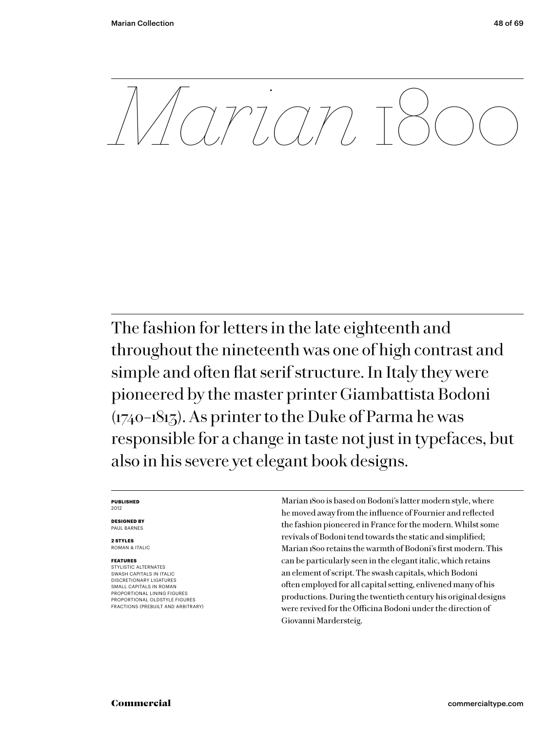Commercial<br>
Commercial<br>
Commercial<br>
Commercial<br>
Commercial<br>
Commercial<br>
Commercial<br>
Commercial<br>
Commercial<br>
Commercial<br>
Commercial<br>
Commercial<br>
Commercial<br>
Commercial<br>
Commercial<br>
Commercial<br>
Commercial<br>
Commercial<br>
Commer The fashion for letters in the late eighteenth and throughout the nineteenth was one of high contrast and simple and often flat serif structure. In Italy they were pioneered by the master printer Giambattista Bodoni (1740–1813). As printer to the Duke of Parma he was responsible for a change in taste not just in typefaces, but also in his severe yet elegant book designs.

#### **PUBLISHED** 2012

**DESIGNED BY** PAUL BARNES

**2 STYLES** ROMAN & ITALIC

#### **FEATURES**

STYLISTIC ALTERNATES SWASH CAPITALS IN ITALIC DISCRETIONARY LIGATURES SMALL CAPITALS IN ROMAN PROPORTIONAL LINING FIGURES PROPORTIONAL OLDSTYLE FIGURES FRACTIONS (PREBUILT AND ARBITRARY) Marian 1800 is based on Bodoni's latter modern style, where he moved away from the influence of Fournier and reflected the fashion pioneered in France for the modern. Whilst some revivals of Bodoni tend towards the static and simplified; Marian 1800 retains the warmth of Bodoni's first modern. This can be particularly seen in the elegant italic, which retains an element of script. The swash capitals, which Bodoni often employed for all capital setting, enlivened many of his productions. During the twentieth century his original designs were revived for the Officina Bodoni under the direction of Giovanni Mardersteig.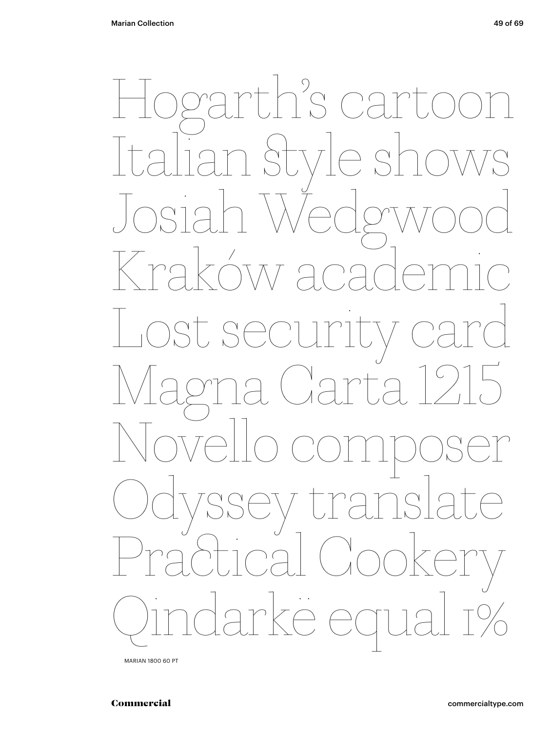

MARIAN 1800 60 PT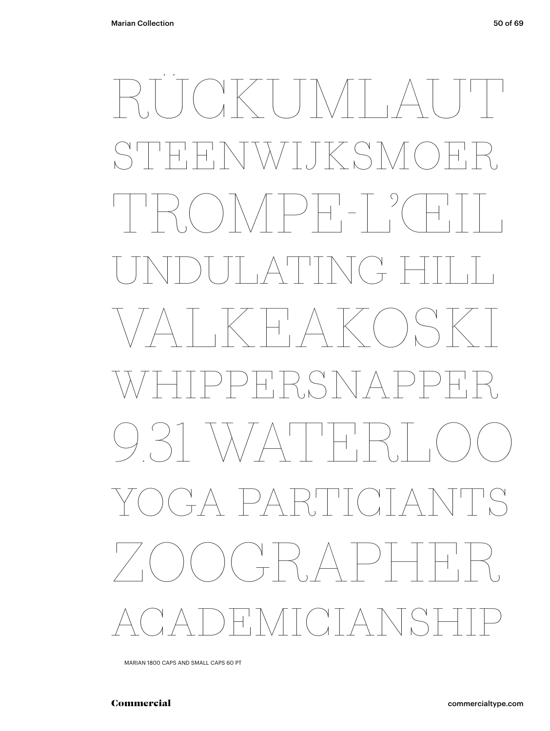# RÜCKUMLAUT<br>STEENWIKSMOER<br>TROMPE-L'ŒIL<br>VALKEAKOSKI<br>WHIPPERSNAPPER<br>9.31 WATERLOO<br>YOGA PARTICIANTS<br>ZOOGRAPHER<br>ACADEMICIANSHIP STEENWIJKSM  $\bigcup_{i=1}^{n} \begin{bmatrix} 1 & 2 \\ 1 & 2 \end{bmatrix}$ UNDULATING HILL  $\langle$  H $A \times$  ( ) WHIPPERSNAPPER  $31 \ \sqrt{\sqrt{4111}}$ YA PARTICIANTIS ZOOGRAPHER  $\bigcap_{\alpha}$

MARIAN 1800 CAPS AND SMALL CAPS 60 PT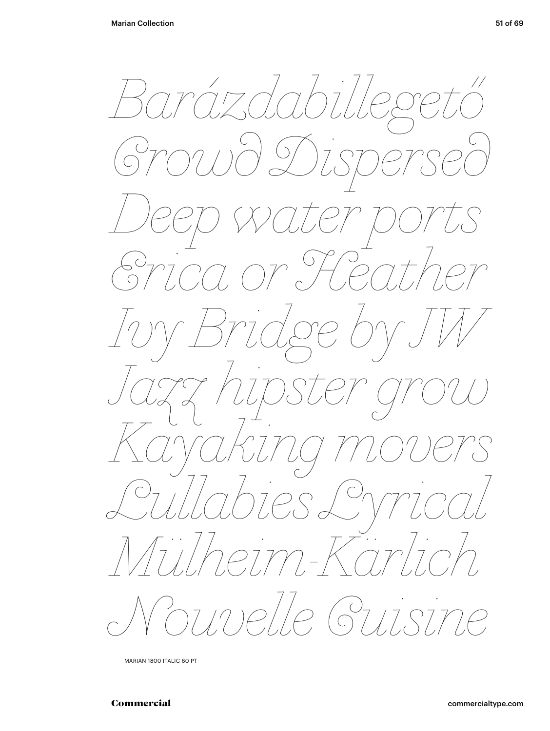Barázdabillegető<br>Growô Disperseð<br>Deep water ports<br>Torica or Heather<br>Iorica or Heather<br>Kayaking movers<br>Qullabies Lyrical<br>Mülheim-Kärlich<br>Mülheim-Kärlich<br>Nouvelle Guisine *Crowd Dispersed Deep water ports Erica or Heather Ivy Bridge by JW Jazz hipster grow*  $\overline{a}$ *Kayaking movers Lullabies Lyrical Mülheim-Kärlich Nouvelle Cuisine*

MARIAN 1800 ITALIC 60 PT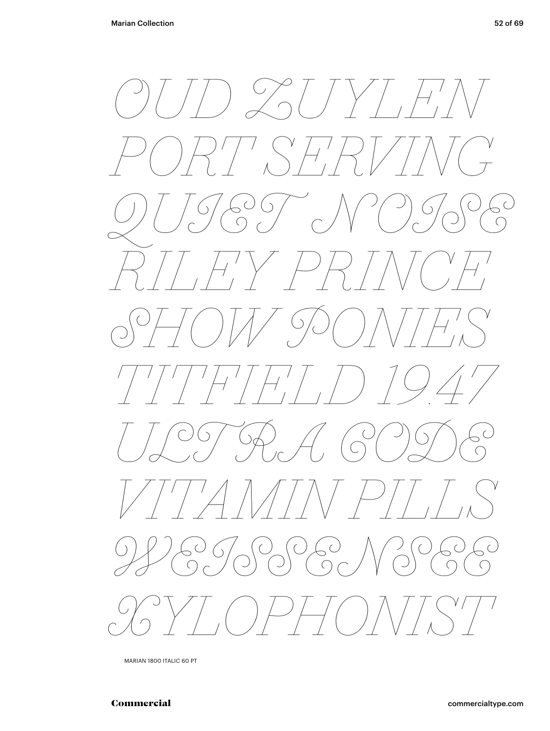

MARIAN 1800 ITALIC 60 PT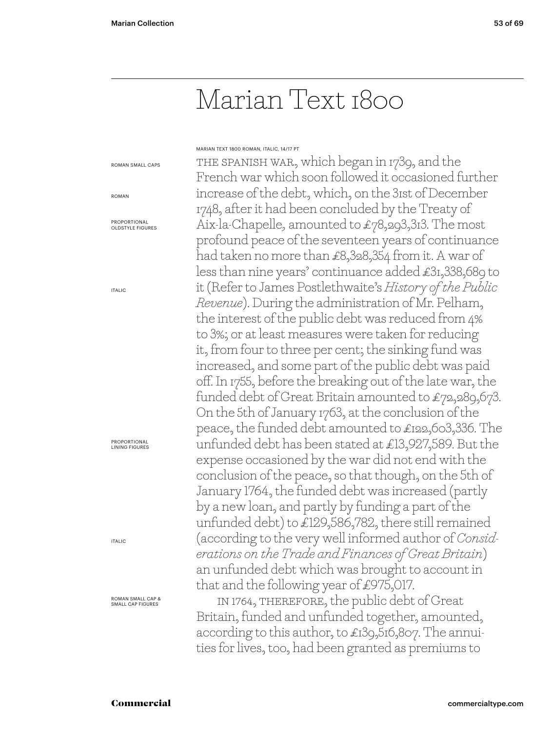# Marian Text 1800

MARIAN TEXT 1800 ROMAN, ITALIC, 14/17 PT

ROMAN SMALL CAPS

ROMAN

PROPORTIONAL OLDSTYLE FIGURES

ITALIC

PROPORTIONAL LINING FIGURES

ITALIC

ROMAN SMALL CAP & SMALL CAP FIGURES

the spanish war, which began in 1739, and the French war which soon followed it occasioned further increase of the debt, which, on the 31st of December 1748, after it had been concluded by the Treaty of Aix-la-Chapelle*,* amounted to £78,293,313. The most profound peace of the seventeen years of continuance had taken no more than £8,328,354 from it. A war of less than nine years' continuance added £31,338,689 to it (Refer to James Postlethwaite's *History of the Public Revenue*). During the administration of Mr. Pelham, the interest of the public debt was reduced from 4% to 3%; or at least measures were taken for reducing it, from four to three per cent; the sinking fund was increased, and some part of the public debt was paid off. In 1755, before the breaking out of the late war, the funded debt of Great Britain amounted to £72,289,673. On the 5th of January 1763, at the conclusion of the peace, the funded debt amounted to £122,603,336. The unfunded debt has been stated at £13,927,589. But the expense occasioned by the war did not end with the conclusion of the peace, so that though, on the 5th of January 1764, the funded debt was increased (partly by a new loan, and partly by funding a part of the unfunded debt) to £129,586,782, there still remained (according to the very well informed author of *Considerations on the Trade and Finances of Great Britain*) an unfunded debt which was brought to account in that and the following year of £975,017.

IN 1764, THEREFORE, the public debt of Great Britain, funded and unfunded together, amounted, according to this author, to £139,516,807. The annuities for lives, too, had been granted as premiums to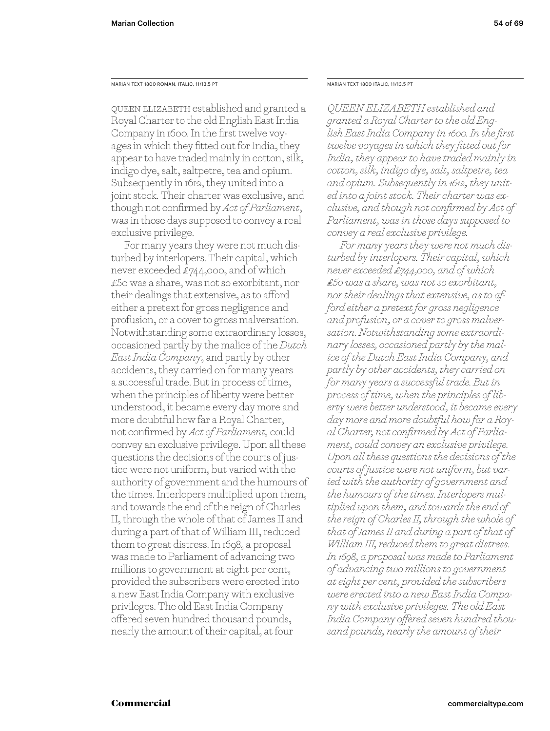MARIAN TEXT 1800 ROMAN, ITALIC, 11/13.5 PT MARIAN TEXT 1800 ITALIC, 11/13.5 PT

Queen Elizabeth established and granted a Royal Charter to the old English East India Company in 1600. In the first twelve voyages in which they fitted out for India, they appear to have traded mainly in cotton, silk, indigo dye, salt, saltpetre, tea and opium. Subsequently in 1612, they united into a joint stock. Their charter was exclusive, and though not confirmed by *Act of Parliament*, was in those days supposed to convey a real exclusive privilege.

For many years they were not much disturbed by interlopers. Their capital, which never exceeded £744,000, and of which £50 was a share, was not so exorbitant, nor their dealings that extensive, as to afford either a pretext for gross negligence and profusion, or a cover to gross malversation. Notwithstanding some extraordinary losses, occasioned partly by the malice of the *Dutch East India Company*, and partly by other accidents, they carried on for many years a successful trade. But in process of time, when the principles of liberty were better understood, it became every day more and more doubtful how far a Royal Charter, not confirmed by *Act of Parliament,* could convey an exclusive privilege. Upon all these questions the decisions of the courts of justice were not uniform, but varied with the authority of government and the humours of the times. Interlopers multiplied upon them, and towards the end of the reign of Charles II, through the whole of that of James II and during a part of that of William III, reduced them to great distress. In 1698, a proposal was made to Parliament of advancing two millions to government at eight per cent, provided the subscribers were erected into a new East India Company with exclusive privileges. The old East India Company offered seven hundred thousand pounds, nearly the amount of their capital, at four

*QUEEN ELIZABETH established and granted a Royal Charter to the old English East India Company in 1600. In the first twelve voyages in which they fitted out for India, they appear to have traded mainly in cotton, silk, indigo dye, salt, saltpetre, tea and opium. Subsequently in 1612, they united into a joint stock. Their charter was exclusive, and though not confirmed by Act of Parliament, was in those days supposed to convey a real exclusive privilege.*

*For many years they were not much disturbed by interlopers. Their capital, which never exceeded £744,000, and of which £50 was a share, was not so exorbitant, nor their dealings that extensive, as to afford either a pretext for gross negligence and profusion, or a cover to gross malversation. Notwithstanding some extraordinary losses, occasioned partly by the malice of the Dutch East India Company, and partly by other accidents, they carried on for many years a successful trade. But in process of time, when the principles of liberty were better understood, it became every day more and more doubtful how far a Royal Charter, not confirmed by Act of Parliament, could convey an exclusive privilege. Upon all these questions the decisions of the courts of justice were not uniform, but varied with the authority of government and the humours of the times. Interlopers multiplied upon them, and towards the end of the reign of Charles II, through the whole of that of James II and during a part of that of William III, reduced them to great distress. In 1698, a proposal was made to Parliament of advancing two millions to government at eight per cent, provided the subscribers were erected into a new East India Company with exclusive privileges. The old East India Company offered seven hundred thousand pounds, nearly the amount of their*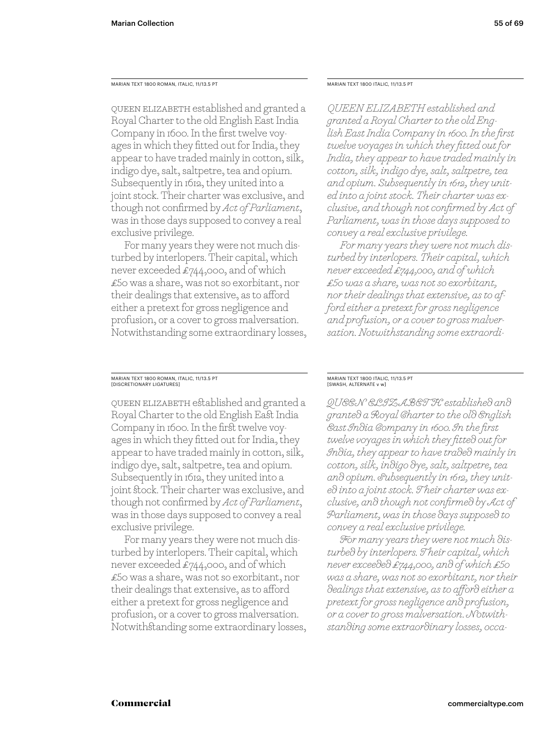MARIAN TEXT 1800 ROMAN, ITALIC, 11/13.5 PT

Queen Elizabeth established and granted a Royal Charter to the old English East India Company in 1600. In the first twelve voyages in which they fitted out for India, they appear to have traded mainly in cotton, silk, indigo dye, salt, saltpetre, tea and opium. Subsequently in 1612, they united into a joint stock. Their charter was exclusive, and though not confirmed by *Act of Parliament*, was in those days supposed to convey a real exclusive privilege.

For many years they were not much disturbed by interlopers. Their capital, which never exceeded £744,000, and of which £50 was a share, was not so exorbitant, nor their dealings that extensive, as to afford either a pretext for gross negligence and profusion, or a cover to gross malversation. Notwithstanding some extraordinary losses,

# MARIAN TEXT 1800 ROMAN, ITALIC, 11/13.5 PT [DISCRETIONARY LIGATURES]

Queen Elizabeth established and granted a Royal Charter to the old English East India Company in 1600. In the first twelve voyages in which they fitted out for India, they appear to have traded mainly in cotton, silk, indigo dye, salt, saltpetre, tea and opium. Subsequently in 1612, they united into a joint stock. Their charter was exclusive, and though not confirmed by *Act of Parliament*, was in those days supposed to convey a real exclusive privilege.

For many years they were not much disturbed by interlopers. Their capital, which never exceeded  $\pounds$ 744,000, and of which £50 was a share, was not so exorbitant, nor their dealings that extensive, as to afford either a pretext for gross negligence and profusion, or a cover to gross malversation. Notwithstanding some extraordinary losses, MARIAN TEXT 1800 ITALIC, 11/13.5 PT

*QUEEN ELIZABETH established and granted a Royal Charter to the old English East India Company in 1600. In the first twelve voyages in which they fitted out for India, they appear to have traded mainly in cotton, silk, indigo dye, salt, saltpetre, tea and opium. Subsequently in 1612, they united into a joint stock. Their charter was exclusive, and though not confirmed by Act of Parliament, was in those days supposed to convey a real exclusive privilege.*

*For many years they were not much disturbed by interlopers. Their capital, which never exceeded £744,000, and of which £50 was a share, was not so exorbitant, nor their dealings that extensive, as to afford either a pretext for gross negligence and profusion, or a cover to gross malversation. Notwithstanding some extraordi-*

# MARIAN TEXT 1800 ITALIC, 11/13.5 PT [SWASH, ALTERNATE v w]

*QUEEN ELIZABETH established and granted a Royal Charter to the old English East India Company in 1600. In the first twelve voyages in which they fitted out for India, they appear to have traded mainly in cotton, silk, indigo dye, salt, saltpetre, tea and opium. Subsequently in 1612, they united into a joint stock. Their charter was exclusive, and though not confirmed by Act of Parliament, was in those days supposed to convey a real exclusive privilege.*

*For many years they were not much disturbed by interlopers. Their capital, which never exceeded £744,000, and of which £50 was a share, was not so exorbitant, nor their dealings that extensive, as to afford either a pretext for gross negligence and profusion, or a cover to gross malversation. Notwithstanding some extraordinary losses, occa-*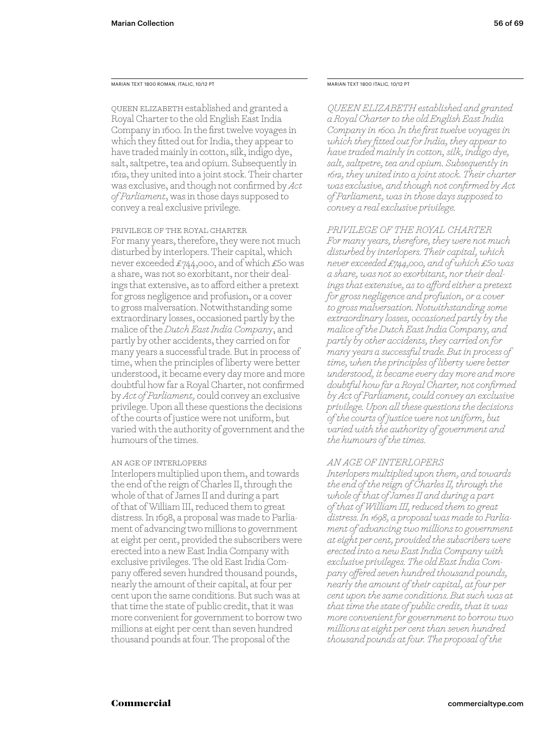MARIAN TEXT 1800 ROMAN, ITALIC, 10/12 PT **MARIAN TEXT 1800 ITALIC, 10/12 PT** MARIAN TEXT 1800 ITALIC, 10/12 PT

Queen Elizabeth established and granted a Royal Charter to the old English East India Company in 1600. In the first twelve voyages in which they fitted out for India, they appear to have traded mainly in cotton, silk, indigo dye, salt, saltpetre, tea and opium. Subsequently in 1612, they united into a joint stock. Their charter was exclusive, and though not confirmed by *Act of Parliament*, was in those days supposed to convey a real exclusive privilege.

#### privilege of the Royal Charter

For many years, therefore, they were not much disturbed by interlopers. Their capital, which never exceeded £744,000, and of which £50 was a share, was not so exorbitant, nor their dealings that extensive, as to afford either a pretext for gross negligence and profusion, or a cover to gross malversation. Notwithstanding some extraordinary losses, occasioned partly by the malice of the *Dutch East India Company*, and partly by other accidents, they carried on for many years a successful trade. But in process of time, when the principles of liberty were better understood, it became every day more and more doubtful how far a Royal Charter, not confirmed by *Act of Parliament,* could convey an exclusive privilege. Upon all these questions the decisions of the courts of justice were not uniform, but varied with the authority of government and the humours of the times.

#### an age of interlopers

Interlopers multiplied upon them, and towards the end of the reign of Charles II, through the whole of that of James II and during a part of that of William III, reduced them to great distress. In 1698, a proposal was made to Parliament of advancing two millions to government at eight per cent, provided the subscribers were erected into a new East India Company with exclusive privileges. The old East India Company offered seven hundred thousand pounds, nearly the amount of their capital, at four per cent upon the same conditions. But such was at that time the state of public credit, that it was more convenient for government to borrow two millions at eight per cent than seven hundred thousand pounds at four. The proposal of the

*QUEEN ELIZABETH established and granted a Royal Charter to the old English East India Company in 1600. In the first twelve voyages in which they fitted out for India, they appear to have traded mainly in cotton, silk, indigo dye, salt, saltpetre, tea and opium. Subsequently in 1612, they united into a joint stock. Their charter was exclusive, and though not confirmed by Act of Parliament, was in those days supposed to convey a real exclusive privilege.*

# *PRIVILEGE OF THE ROYAL CHARTER*

*For many years, therefore, they were not much disturbed by interlopers. Their capital, which never exceeded £744,000, and of which £50 was a share, was not so exorbitant, nor their dealings that extensive, as to afford either a pretext for gross negligence and profusion, or a cover to gross malversation. Notwithstanding some extraordinary losses, occasioned partly by the malice of the Dutch East India Company, and partly by other accidents, they carried on for many years a successful trade. But in process of time, when the principles of liberty were better understood, it became every day more and more doubtful how far a Royal Charter, not confirmed by Act of Parliament, could convey an exclusive privilege. Upon all these questions the decisions of the courts of justice were not uniform, but varied with the authority of government and the humours of the times.*

# *AN AGE OF INTERLOPERS*

*Interlopers multiplied upon them, and towards the end of the reign of Charles II, through the whole of that of James II and during a part of that of William III, reduced them to great distress. In 1698, a proposal was made to Parliament of advancing two millions to government at eight per cent, provided the subscribers were erected into a new East India Company with exclusive privileges. The old East India Company offered seven hundred thousand pounds, nearly the amount of their capital, at four per cent upon the same conditions. But such was at that time the state of public credit, that it was more convenient for government to borrow two millions at eight per cent than seven hundred thousand pounds at four. The proposal of the*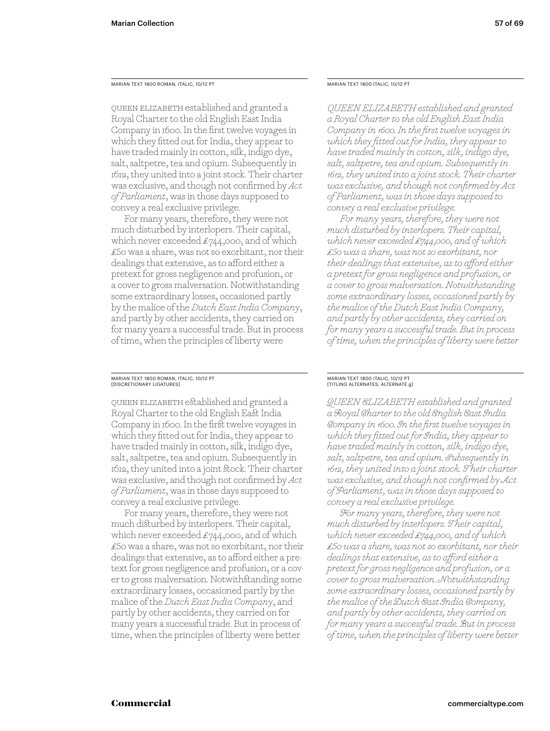MARIAN TEXT 1800 ROMAN, ITALIC, 10/12 PT

Queen Elizabeth established and granted a Royal Charter to the old English East India Company in 1600. In the first twelve voyages in which they fitted out for India, they appear to have traded mainly in cotton, silk, indigo dye, salt, saltpetre, tea and opium. Subsequently in 1612, they united into a joint stock. Their charter was exclusive, and though not confirmed by *Act of Parliament*, was in those days supposed to convey a real exclusive privilege.

For many years, therefore, they were not much disturbed by interlopers. Their capital, which never exceeded  $\pounds$ 744,000, and of which £50 was a share, was not so exorbitant, nor their dealings that extensive, as to afford either a pretext for gross negligence and profusion, or a cover to gross malversation. Notwithstanding some extraordinary losses, occasioned partly by the malice of the *Dutch East India Company*, and partly by other accidents, they carried on for many years a successful trade. But in process of time, when the principles of liberty were

#### MARIAN TEXT 1800 ROMAN, ITALIC, 10/12 PT [DISCRETIONARY LIGATURES]

Queen Elizabeth established and granted a Royal Charter to the old English East India Company in 1600. In the first twelve voyages in which they fitted out for India, they appear to have traded mainly in cotton, silk, indigo dye, salt, saltpetre, tea and opium. Subsequently in 1612, they united into a joint stock. Their charter was exclusive, and though not confirmed by *Act of Parliament*, was in those days supposed to convey a real exclusive privilege.

For many years, therefore, they were not much disturbed by interlopers. Their capital, which never exceeded  $\pounds$ 744,000, and of which  $£50$  was a share, was not so exorbitant, nor their dealings that extensive, as to afford either a pretext for gross negligence and profusion, or a cover to gross malversation. Notwithstanding some extraordinary losses, occasioned partly by the malice of the *Dutch East India Company*, and partly by other accidents, they carried on for many years a successful trade. But in process of time, when the principles of liberty were better

MARIAN TEXT 1800 ITALIC, 10/12 PT

*QUEEN ELIZABETH established and granted a Royal Charter to the old English East India Company in 1600. In the first twelve voyages in which they fitted out for India, they appear to have traded mainly in cotton, silk, indigo dye, salt, saltpetre, tea and opium. Subsequently in 1612, they united into a joint stock. Their charter was exclusive, and though not confirmed by Act of Parliament, was in those days supposed to convey a real exclusive privilege.*

*For many years, therefore, they were not much disturbed by interlopers. Their capital, which never exceeded £744,000, and of which £50 was a share, was not so exorbitant, nor their dealings that extensive, as to afford either a pretext for gross negligence and profusion, or a cover to gross malversation. Notwithstanding some extraordinary losses, occasioned partly by the malice of the Dutch East India Company, and partly by other accidents, they carried on for many years a successful trade. But in process of time, when the principles of liberty were better* 

#### MARIAN TEXT 1800 ITALIC, 10/12 PT [TITLING ALTERNATES, ALTERNATE g]

*QUEEN ELIZABETH established and granted a Royal Charter to the old English East India Company in 1600. In the first twelve voyages in which they fitted out for India, they appear to have traded mainly in cotton, silk, indigo dye, salt, saltpetre, tea and opium. Subsequently in 1612, they united into a joint stock. Their charter was exclusive, and though not confirmed by Act of Parliament, was in those days supposed to convey a real exclusive privilege.*

*For many years, therefore, they were not much disturbed by interlopers. Their capital, which never exceeded £744,000, and of which £50 was a share, was not so exorbitant, nor their dealings that extensive, as to afford either a pretext for gross negligence and profusion, or a cover to gross malversation. Notwithstanding some extraordinary losses, occasioned partly by the malice of the Dutch East India Company, and partly by other accidents, they carried on for many years a successful trade. But in process of time, when the principles of liberty were better*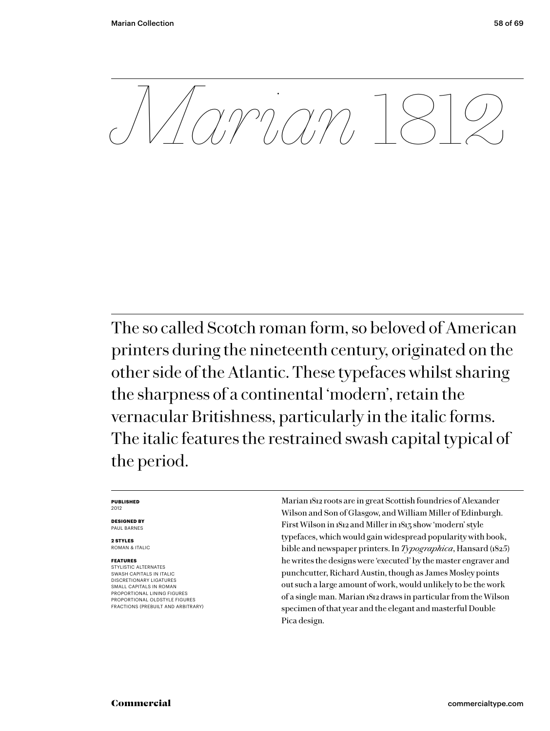Commercial<br>
Commercial<br>
Commercial<br>
Commercial<br>
Commercial<br>
Commercial<br>
Commercial<br>
Commercial<br>
Commercial<br>
Commercial<br>
Commercial<br>
Commercial<br>
Commercial<br>
Commercial<br>
Commercial<br>
Commercial<br>
Commercial<br>
Commercial<br>
Commer The so called Scotch roman form, so beloved of American printers during the nineteenth century, originated on the other side of the Atlantic. These typefaces whilst sharing the sharpness of a continental 'modern', retain the vernacular Britishness, particularly in the italic forms. The italic features the restrained swash capital typical of the period.

#### **PUBLISHED** 2012

**DESIGNED BY** PAUL BARNES

**2 STYLES** ROMAN & ITALIC

#### **FEATURES**

STYLISTIC ALTERNATES SWASH CAPITALS IN ITALIC DISCRETIONARY LIGATURES SMALL CAPITALS IN ROMAN PROPORTIONAL LINING FIGURES PROPORTIONAL OLDSTYLE FIGURES FRACTIONS (PREBUILT AND ARBITRARY) Marian 1812 roots are in great Scottish foundries of Alexander Wilson and Son of Glasgow, and William Miller of Edinburgh. First Wilson in 1812 and Miller in 1813 show 'modern' style typefaces, which would gain widespread popularity with book, bible and newspaper printers. In *Typographica*, Hansard (1825) he writes the designs were 'executed' by the master engraver and punchcutter, Richard Austin, though as James Mosley points out such a large amount of work, would unlikely to be the work of a single man. Marian 1812 draws in particular from the Wilson specimen of that year and the elegant and masterful Double Pica design.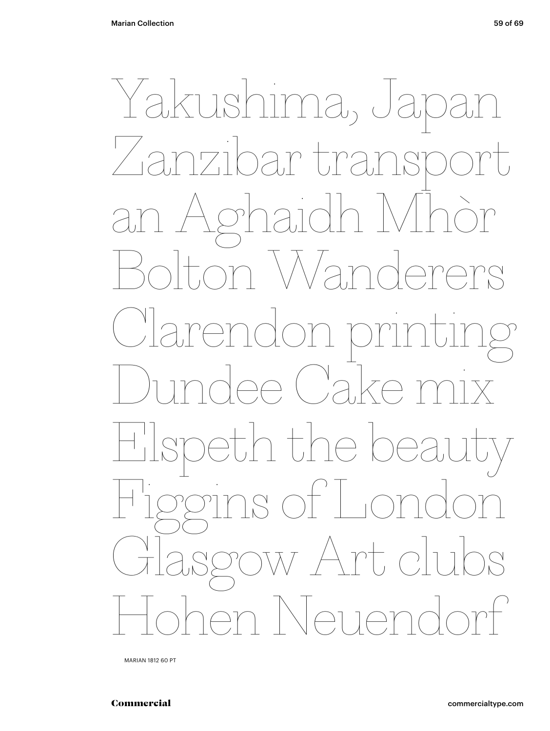Yakushima, Japan<br>Zanzibar transport<br>an Aghaidh Mhòr<br>Bolton Wanderers<br>Clarendon printing<br>Dundee Cake mix<br>Elspeth the beauty<br>Figgins of London<br>Glasgow Art clubs<br>Hohen Neuendorf Zanzibar transport an Aghaidh Mhòr Wanderers Clarendon printing an Ca eth the bea Figgins of London Glasgow Art clubs Hohen Neuendorf

MARIAN 1812 60 PT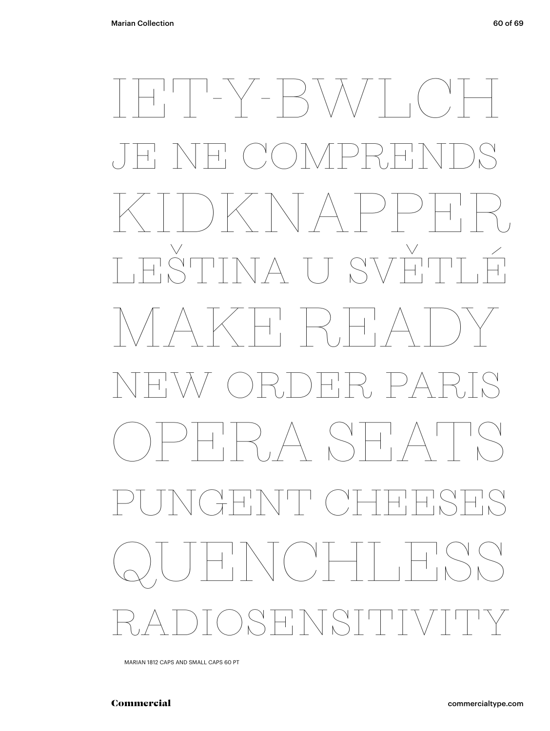# IET-Y-BWLCH<br>Comprends<br>KIDKNAPPER<br>Leština u světlé<br>MAKE READY<br>NEW ORDER PARIS<br>OPERA SEATS<br>PUNCHLESS<br>QUENCHLESS<br>RADIOSENSITIVITY KIDKNAPPER LEŠTINA U SVĚTLÉ  $H_1 \rightarrow H_2$ NEW ORDER PARIS OPERA SEATS PUNGENT CHEESES QUENCHLESS RADIOSENSITIVITY

MARIAN 1812 CAPS AND SMALL CAPS 60 PT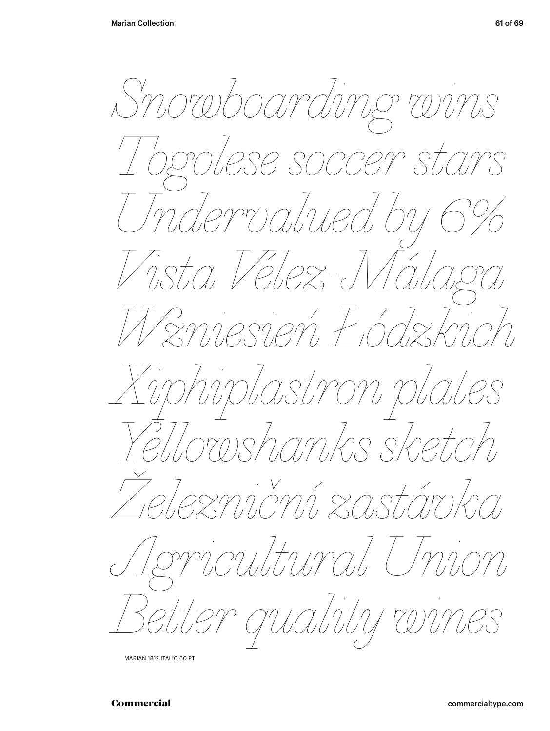Snowboarding wins<br>Togolese soccer stars<br>Undervalued by 6%<br>Vista Vélex-Málaga<br>W<sup>a</sup>niesień Łódzkich<br>Xiphiplastron plates<br>Yellowshanks sketch<br>Agricultural Union<br>Better quality wines *Togolese soccer stars Undervalued by 6% Vista Vélez-Málaga Wzniesień Łódzkich Xiphiplastron plates Yellowshanks sketch Železniční zastávka Agricultural Union Better quality wines*

MARIAN 1812 ITALIC 60 PT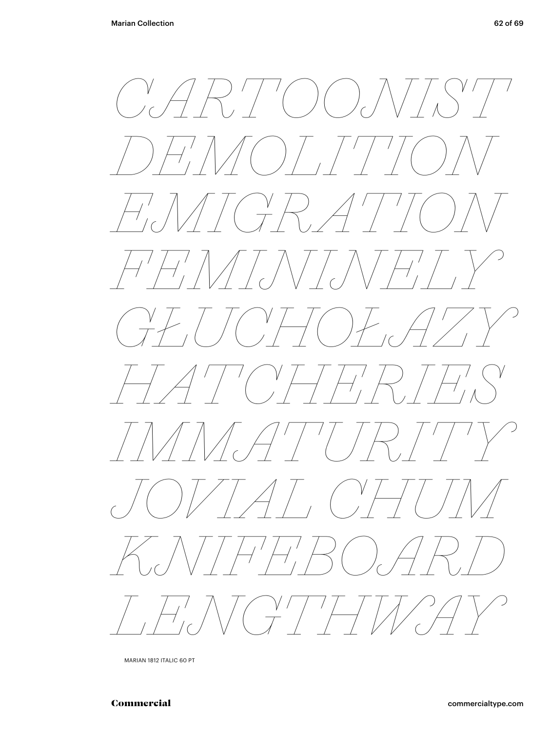

MARIAN 1812 ITALIC 60 PT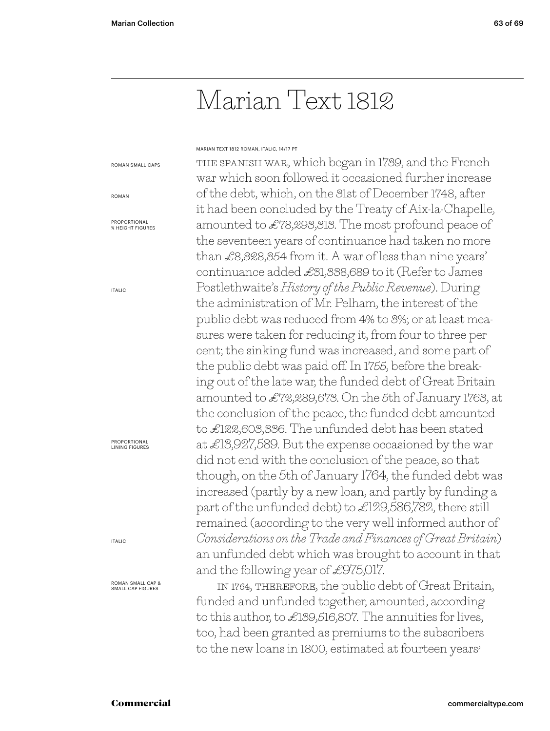# Marian Text 1812

#### MARIAN TEXT 1812 ROMAN, ITALIC, 14/17 PT

the spanish war, which began in 1739, and the French war which soon followed it occasioned further increase of the debt, which, on the 31st of December 1748, after it had been concluded by the Treaty of Aix-la-Chapelle*,* amounted to  $\pounds$ 78,293,313. The most profound peace of the seventeen years of continuance had taken no more than £8,328,354 from it. A war of less than nine years' continuance added £31,338,689 to it (Refer to James Postlethwaite's *History of the Public Revenue*). During the administration of Mr. Pelham, the interest of the public debt was reduced from 4% to 3%; or at least measures were taken for reducing it, from four to three per cent; the sinking fund was increased, and some part of the public debt was paid off. In 1755, before the breaking out of the late war, the funded debt of Great Britain amounted to £72,289,673. On the 5th of January 1763, at the conclusion of the peace, the funded debt amounted to £122,603,336. The unfunded debt has been stated at £13,927,589. But the expense occasioned by the war did not end with the conclusion of the peace, so that though, on the 5th of January 1764, the funded debt was increased (partly by a new loan, and partly by funding a part of the unfunded debt) to £129,586,782, there still remained (according to the very well informed author of *Considerations on the Trade and Finances of Great Britain*) an unfunded debt which was brought to account in that and the following year of £975,017.

IN 1764, THEREFORE, the public debt of Great Britain, funded and unfunded together, amounted, according to this author, to £139,516,807. The annuities for lives, too, had been granted as premiums to the subscribers to the new loans in 1800, estimated at fourteen years

ROMAN SMALL CAPS

ROMAN

PROPORTIONAL *M* HEIGHT FIGURES

ITALIC

PROPORTIONAL LINING FIGURES

ITALIC

ROMAN SMALL CAP & SMALL CAP FIGURES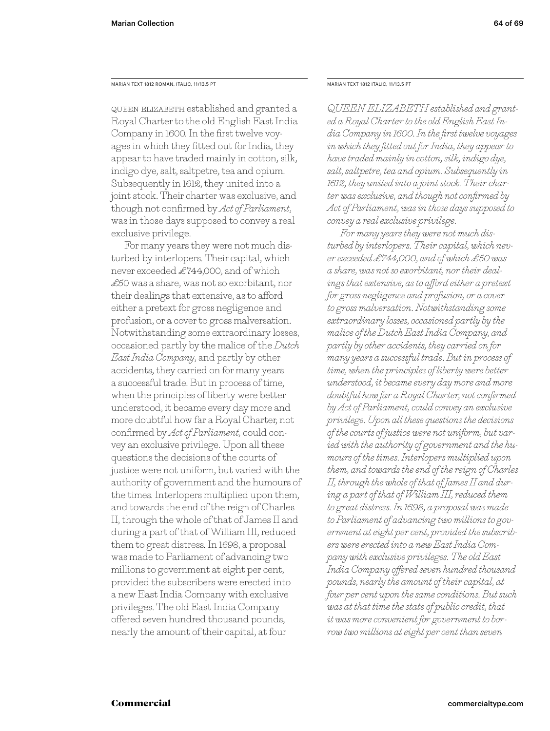MARIAN TEXT 1812 ROMAN, ITALIC, 11/13.5 PT MARIAN TEXT 1812 ITALIC, 11/13.5 PT

Queen Elizabeth established and granted a Royal Charter to the old English East India Company in 1600. In the first twelve voyages in which they fitted out for India, they appear to have traded mainly in cotton, silk, indigo dye, salt, saltpetre, tea and opium. Subsequently in 1612, they united into a joint stock. Their charter was exclusive, and though not confirmed by *Act of Parliament*, was in those days supposed to convey a real exclusive privilege.

For many years they were not much disturbed by interlopers. Their capital, which never exceeded £744,000, and of which £50 was a share, was not so exorbitant, nor their dealings that extensive, as to afford either a pretext for gross negligence and profusion, or a cover to gross malversation. Notwithstanding some extraordinary losses, occasioned partly by the malice of the *Dutch East India Company*, and partly by other accidents, they carried on for many years a successful trade. But in process of time, when the principles of liberty were better understood, it became every day more and more doubtful how far a Royal Charter, not confirmed by *Act of Parliament,* could convey an exclusive privilege. Upon all these questions the decisions of the courts of justice were not uniform, but varied with the authority of government and the humours of the times. Interlopers multiplied upon them, and towards the end of the reign of Charles II, through the whole of that of James II and during a part of that of William III, reduced them to great distress. In 1698, a proposal was made to Parliament of advancing two millions to government at eight per cent, provided the subscribers were erected into a new East India Company with exclusive privileges. The old East India Company offered seven hundred thousand pounds, nearly the amount of their capital, at four

*QUEEN ELIZABETH established and granted a Royal Charter to the old English East India Company in 1600. In the first twelve voyages in which they fitted out for India, they appear to have traded mainly in cotton, silk, indigo dye, salt, saltpetre, tea and opium. Subsequently in 1612, they united into a joint stock. Their charter was exclusive, and though not confirmed by Act of Parliament, was in those days supposed to convey a real exclusive privilege.*

*For many years they were not much disturbed by interlopers. Their capital, which never exceeded £744,000, and of which £50 was a share, was not so exorbitant, nor their dealings that extensive, as to afford either a pretext for gross negligence and profusion, or a cover to gross malversation. Notwithstanding some extraordinary losses, occasioned partly by the malice of the Dutch East India Company, and partly by other accidents, they carried on for many years a successful trade. But in process of time, when the principles of liberty were better understood, it became every day more and more doubtful how far a Royal Charter, not confirmed by Act of Parliament, could convey an exclusive privilege. Upon all these questions the decisions of the courts of justice were not uniform, but varied with the authority of government and the humours of the times. Interlopers multiplied upon them, and towards the end of the reign of Charles II, through the whole of that of James II and during a part of that of William III, reduced them to great distress. In 1698, a proposal was made to Parliament of advancing two millions to government at eight per cent, provided the subscribers were erected into a new East India Company with exclusive privileges. The old East India Company offered seven hundred thousand pounds, nearly the amount of their capital, at four per cent upon the same conditions. But such was at that time the state of public credit, that it was more convenient for government to borrow two millions at eight per cent than seven*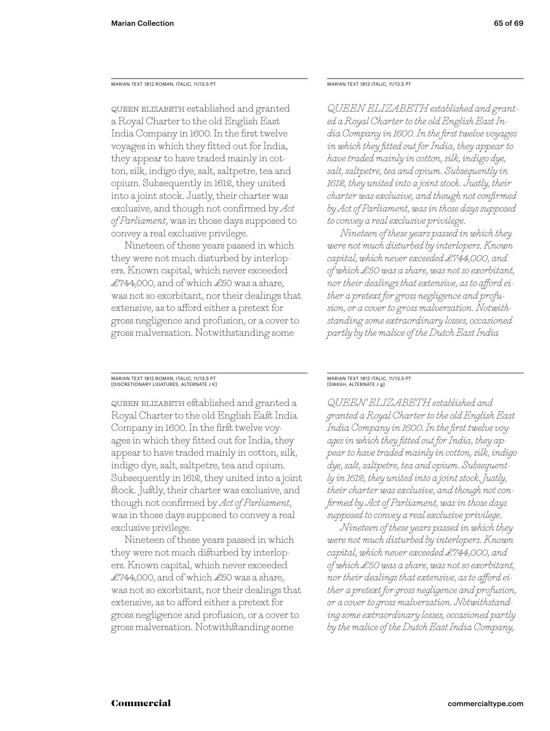MARIAN TEXT 1812 ROMAN, ITALIC, 11/13.5 PT

Queen Elizabeth established and granted a Royal Charter to the old English East India Company in 1600. In the first twelve voyages in which they fitted out for India, they appear to have traded mainly in cotton, silk, indigo dye, salt, saltpetre, tea and opium. Subsequently in 1612, they united into a joint stock. Justly, their charter was exclusive, and though not confirmed by *Act of Parliament*, was in those days supposed to convey a real exclusive privilege.

Nineteen of these years passed in which they were not much disturbed by interlopers. Known capital, which never exceeded £744,000, and of which £50 was a share, was not so exorbitant, nor their dealings that extensive, as to afford either a pretext for gross negligence and profusion, or a cover to gross malversation. Notwithstanding some

### MARIAN TEXT 1812 ROMAN, ITALIC, 11/13.5 PT [DISCRETIONARY LIGATURES, ALTERNATE J K]

Queen Elizabeth established and granted a Royal Charter to the old English East India Company in 1600. In the first twelve voyages in which they fitted out for India, they appear to have traded mainly in cotton, silk, indigo dye, salt, saltpetre, tea and opium. Subsequently in 1612, they united into a joint stock. Justly, their charter was exclusive, and though not confirmed by *Act of Parliament*, was in those days supposed to convey a real exclusive privilege.

Nineteen of these years passed in which they were not much disturbed by interlopers. Known capital, which never exceeded  $£744,000$ , and of which £50 was a share, was not so exorbitant, nor their dealings that extensive, as to afford either a pretext for gross negligence and profusion, or a cover to gross malversation. Notwithstanding some

MARIAN TEXT 1812 ITALIC, 11/13.5 PT

*QUEEN ELIZABETH established and granted a Royal Charter to the old English East India Company in 1600. In the first twelve voyages in which they fitted out for India, they appear to have traded mainly in cotton, silk, indigo dye, salt, saltpetre, tea and opium. Subsequently in 1612, they united into a joint stock. Justly, their charter was exclusive, and though not confirmed by Act of Parliament, was in those days supposed to convey a real exclusive privilege.*

*Nineteen of these years passed in which they were not much disturbed by interlopers. Known capital, which never exceeded £744,000, and of which £50 was a share, was not so exorbitant, nor their dealings that extensive, as to afford either a pretext for gross negligence and profusion, or a cover to gross malversation. Notwithstanding some extraordinary losses, occasioned partly by the malice of the Dutch East India* 

# MARIAN TEXT 1812 ITALIC, 11/13.5 PT [SWASH, ALTERNATE J g]

*QUEEN ELIZABETH established and granted a Royal Charter to the old English East India Company in 1600. In the first twelve voyages in which they fitted out for India, they appear to have traded mainly in cotton, silk, indigo dye, salt, saltpetre, tea and opium. Subsequently in 1612, they united into a joint stock. Justly, their charter was exclusive, and though not confirmed by Act of Parliament, was in those days supposed to convey a real exclusive privilege.*

*Nineteen of these years passed in which they were not much disturbed by interlopers. Known capital, which never exceeded £744,000, and of which £50 was a share, was not so exorbitant, nor their dealings that extensive, as to afford either a pretext for gross negligence and profusion, or a cover to gross malversation. Notwithstanding some extraordinary losses, occasioned partly by the malice of the Dutch East India Company,*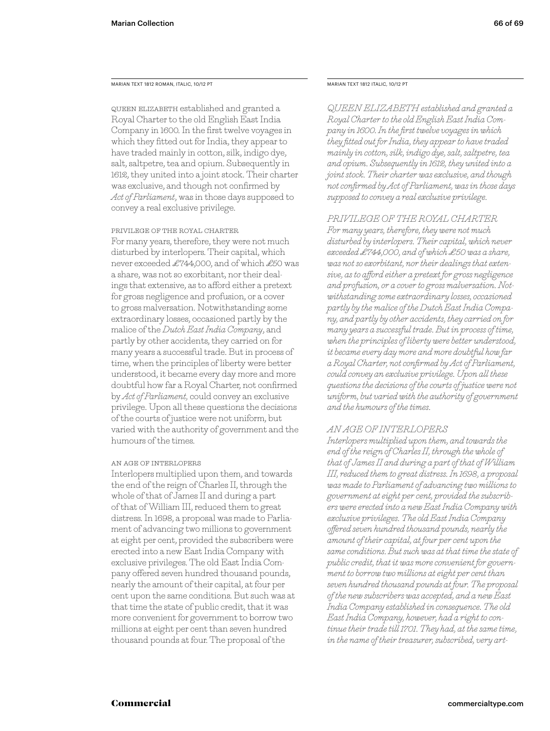MARIAN TEXT 1812 ROMAN, ITALIC, 10/12 PT MARIAN TEXT 1812 ITALIC, 10/12 PT

Queen Elizabeth established and granted a Royal Charter to the old English East India Company in 1600. In the first twelve voyages in which they fitted out for India, they appear to have traded mainly in cotton, silk, indigo dye, salt, saltpetre, tea and opium. Subsequently in 1612, they united into a joint stock. Their charter was exclusive, and though not confirmed by *Act of Parliament*, was in those days supposed to convey a real exclusive privilege.

privilege of the Royal Charter For many years, therefore, they were not much disturbed by interlopers. Their capital, which never exceeded £744,000, and of which £50 was a share, was not so exorbitant, nor their dealings that extensive, as to afford either a pretext for gross negligence and profusion, or a cover to gross malversation. Notwithstanding some extraordinary losses, occasioned partly by the malice of the *Dutch East India Company*, and partly by other accidents, they carried on for many years a successful trade. But in process of time, when the principles of liberty were better understood, it became every day more and more doubtful how far a Royal Charter, not confirmed by *Act of Parliament,* could convey an exclusive privilege. Upon all these questions the decisions of the courts of justice were not uniform, but varied with the authority of government and the humours of the times.

#### an age of interlopers

Interlopers multiplied upon them, and towards the end of the reign of Charles II, through the whole of that of James II and during a part of that of William III, reduced them to great distress. In 1698, a proposal was made to Parliament of advancing two millions to government at eight per cent, provided the subscribers were erected into a new East India Company with exclusive privileges. The old East India Company offered seven hundred thousand pounds, nearly the amount of their capital, at four per cent upon the same conditions. But such was at that time the state of public credit, that it was more convenient for government to borrow two millions at eight per cent than seven hundred thousand pounds at four. The proposal of the

*QUEEN ELIZABETH established and granted a Royal Charter to the old English East India Company in 1600. In the first twelve voyages in which they fitted out for India, they appear to have traded mainly in cotton, silk, indigo dye, salt, saltpetre, tea and opium. Subsequently in 1612, they united into a joint stock. Their charter was exclusive, and though not confirmed by Act of Parliament, was in those days supposed to convey a real exclusive privilege.*

#### *PRIVILEGE OF THE ROYAL CHARTER*

*For many years, therefore, they were not much disturbed by interlopers. Their capital, which never exceeded £744,000, and of which £50 was a share, was not so exorbitant, nor their dealings that extensive, as to afford either a pretext for gross negligence and profusion, or a cover to gross malversation. Notwithstanding some extraordinary losses, occasioned partly by the malice of the Dutch East India Company, and partly by other accidents, they carried on for many years a successful trade. But in process of time, when the principles of liberty were better understood, it became every day more and more doubtful how far a Royal Charter, not confirmed by Act of Parliament, could convey an exclusive privilege. Upon all these questions the decisions of the courts of justice were not uniform, but varied with the authority of government and the humours of the times.*

# *AN AGE OF INTERLOPERS*

*Interlopers multiplied upon them, and towards the end of the reign of Charles II, through the whole of that of James II and during a part of that of William III, reduced them to great distress. In 1698, a proposal was made to Parliament of advancing two millions to government at eight per cent, provided the subscribers were erected into a new East India Company with exclusive privileges. The old East India Company offered seven hundred thousand pounds, nearly the amount of their capital, at four per cent upon the same conditions. But such was at that time the state of public credit, that it was more convenient for government to borrow two millions at eight per cent than seven hundred thousand pounds at four. The proposal of the new subscribers was accepted, and a new East India Company established in consequence. The old East India Company, however, had a right to continue their trade till 1701. They had, at the same time, in the name of their treasurer, subscribed, very art-*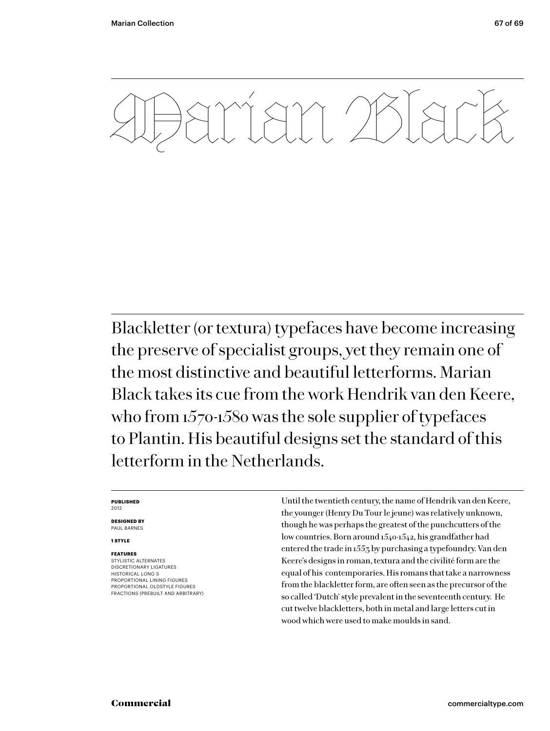

Blackletter (or textura) type<br>faces have become increasing the preserve of specialist groups, yet they remain one of<br>the most distinctive and beautiful letter forms. Marian Black takes its cut from the work Hendrik van de Blackletter (or textura) typefaces have become increasing the preserve of specialist groups, yet they remain one of the most distinctive and beautiful letterforms. Marian Black takes its cue from the work Hendrik van den Keere, who from 1570-1580 was the sole supplier of typefaces to Plantin. His beautiful designs set the standard of this letterform in the Netherlands.

#### **PUBLISHED** 2012

**DESIGNED BY** PAUL BARNES

#### **1 STYLE**

#### **FEATURES**

STYLISTIC ALTERNATES DISCRETIONARY LIGATURES HISTORICAL LONG S PROPORTIONAL LINING FIGURES PROPORTIONAL OLDSTYLE FIGURES FRACTIONS (PREBUILT AND ARBITRARY) Until the twentieth century, the name of Hendrik van den Keere, the younger (Henry Du Tour le jeune) was relatively unknown, though he was perhaps the greatest of the punchcutters of the low countries. Born around 1540-1542, his grandfather had entered the trade in 1553 by purchasing a typefoundry. Van den Keere's designs in roman, textura and the civilité form are the equal of his contemporaries. His romans that take a narrowness from the blackletter form, are often seen as the precursor of the so called 'Dutch' style prevalent in the seventeenth century. He cut twelve blackletters, both in metal and large letters cut in wood which were used to make moulds in sand.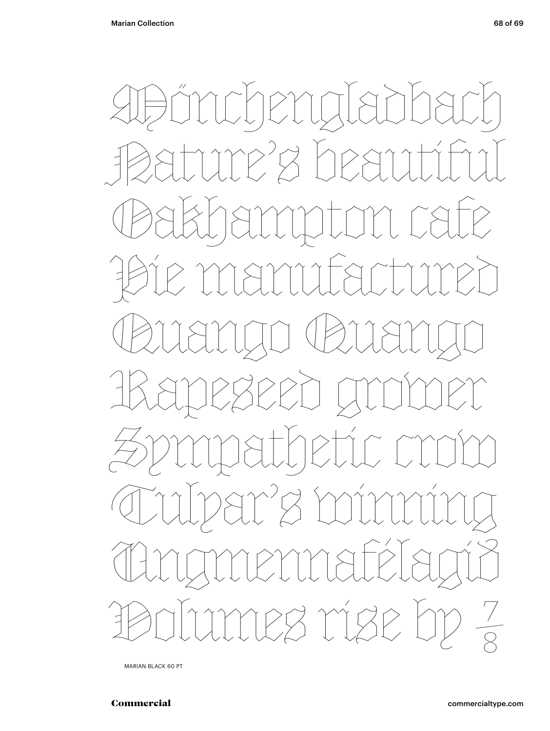AÞónchengladbach<br>Bature's beautiful<br>Cakhampton safe<br>Pie manufastured<br>Cuango Quango<br>Kapesed grómer<br>Sympathetic smore<br>Culpar's winning<br>Angmennafélagid<br>Bolumes rise bp Pature's bea Oakhampton cafe Pie manufactured Quango Quango Rapeseed grower Sympathetic crow Tulyar's winning Ungmennafélagið Volumes rise by ⅞

MARIAN BLACK 60 PT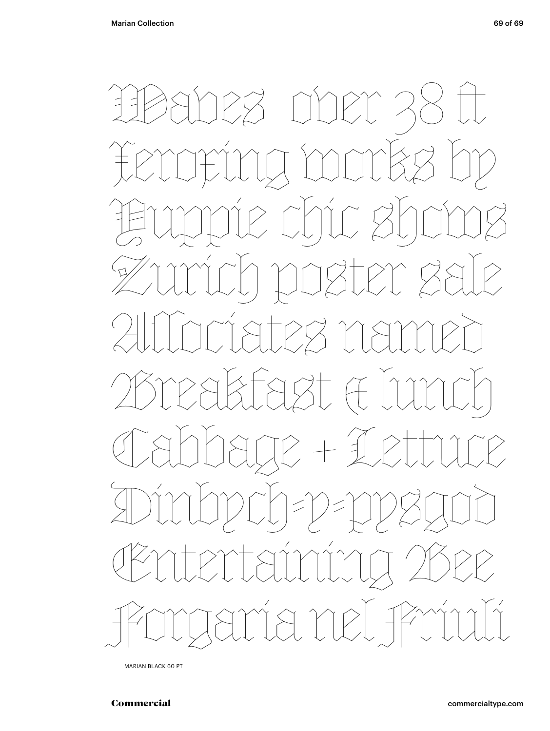

MARIAN BLACK 60 PT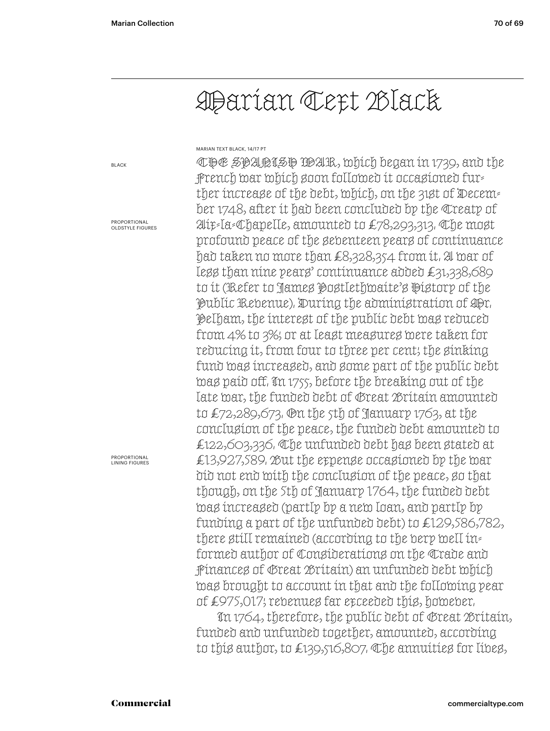# Marian Text Black

MARIAN TEXT BLACK, 14/17 PT

THE SPANISH WAR, which began in 1739, and the French war which soon followed it occasioned further increase of the debt, which, on the 31st of December 1748, after it had been concluded by the Treaty of Aix-la-Chapelle, amounted to £78,293,313. The most profound peace of the seventeen years of continuance had taken no more than £8,328,354 from it. A war of less than nine years' continuance added £31,338,689 to it (Refer to James Postlethwaite's History of the Public Revenue). During the administration of Mr. Pelham, the interest of the public debt was reduced from 4% to 3%; or at least measures were taken for reducing it, from four to three per cent; the sinking fund was increased, and some part of the public debt was paid off. In 1755, before the breaking out of the late war, the funded debt of Great Britain amounted to £72,289,673. On the 5th of January 1763, at the conclusion of the peace, the funded debt amounted to £122,603,336. The unfunded debt has been stated at £13,927,589. But the expense occasioned by the war did not end with the conclusion of the peace, so that though, on the 5th of January 1764, the funded debt was increased (partly by a new loan, and partly by funding a part of the unfunded debt) to £129,586,782, there still remained (according to the very well informed author of Considerations on the Trade and Finances of Great Britain) an unfunded debt which was brought to account in that and the following year of £975,017; revenues far exceeded this, however.

In 1764, therefore, the public debt of Great Britain, funded and unfunded together, amounted, according to this author, to £139,516,807. The annuities for lives,

BLACK

PROPORTIONAL OLDSTYLE FIGURES

PROPORTIONAL LINING FIGURES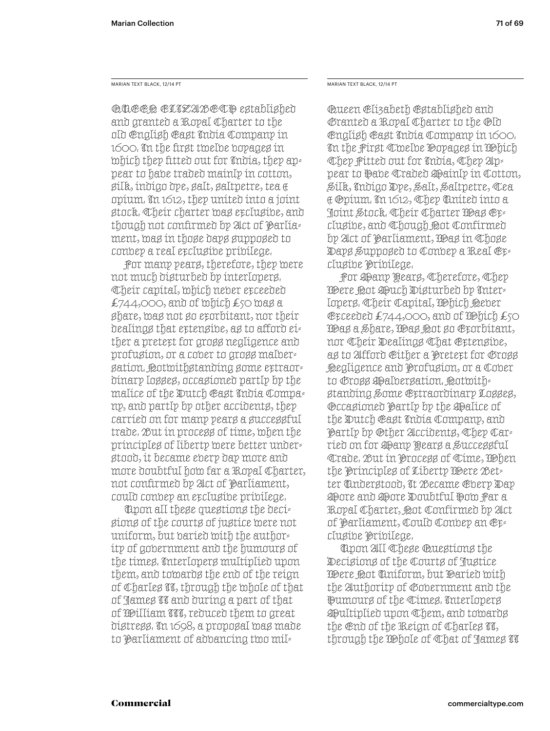QUEEN ELIZABETH established and granted a Royal Charter to the old English East India Company in 1600. In the first twelve voyages in which they fitted out for India, they appear to have traded mainly in cotton, silk, indigo dye, salt, saltpetre, tea & opium. In 1612, they united into a joint stock. Their charter was exclusive, and though not confirmed by Act of Parliament, was in those days supposed to convey a real exclusive privilege.

For many years, therefore, they were not much disturbed by interlopers. Their capital, which never exceeded £744,000, and of which £50 was a share, was not so exorbitant, nor their dealings that extensive, as to afford either a pretext for gross negligence and profusion, or a cover to gross malversation. Notwithstanding some extraordinary losses, occasioned partly by the malice of the Dutch East India Company, and partly by other accidents, they carried on for many years a successful trade. But in process of time, when the principles of liberty were better understood, it became every day more and more doubtful how far a Royal Charter, not confirmed by Act of Parliament, could convey an exclusive privilege.

Upon all these questions the decisions of the courts of justice were not uniform, but varied with the authority of government and the humours of the times. Interlopers multiplied upon them, and towards the end of the reign of Charles II, through the whole of that of James II and during a part of that of William III, reduced them to great distress. In 1698, a proposal was made to Parliament of advancing two mil-

MARIAN TEXT BLACK, 12/14 PT **MARIAN TEXT BLACK, 12/14 PT** MARIAN TEXT BLACK, 12/14 PT

Queen Elizabeth Established and Granted a Royal Charter to the Old English East India Company in 1600. In the First Twelve Voyages in Which They Fitted out for India, They Appear to Have Traded Mainly in Cotton, Silk, Indigo Dye, Salt, Saltpetre, Tea & Opium. In 1612, They United into a Joint Stock. Their Charter Was Exclusive, and Though Not Confirmed by Act of Parliament, Was in Those Days Supposed to Convey a Real Exclusive Privilege.

For Many Years, Therefore, They Were Not Much Disturbed by Interlopers. Their Capital, Which Never Exceeded £744,000, and of Which £50 Was a Share, Was Not so Exorbitant, nor Their Dealings That Extensive, as to Afford Either a Pretext for Gross Negligence and Profusion, or a Cover to Grogg Apalbergation, Potwithstanding Some Extraordinary Losses, Occasioned Partly by the Malice of the Dutch East India Company, and Partly by Other Accidents, They Carried on for Many Years a Successful Trade. But in Process of Time, When the Principles of Liberty Were Better Understood, It Became Every Day More and More Doubtful How Far a Royal Charter, Not Confirmed by Act of Parliament, Could Convey an Exclusive Privilege.

Upon All These Questions the Decisions of the Courts of Justice Were Not Uniform, but Varied with the Authority of Government and the Humours of the Times. Interlopers Multiplied upon Them, and towards the End of the Reign of Charles II, through the Whole of Chat of James II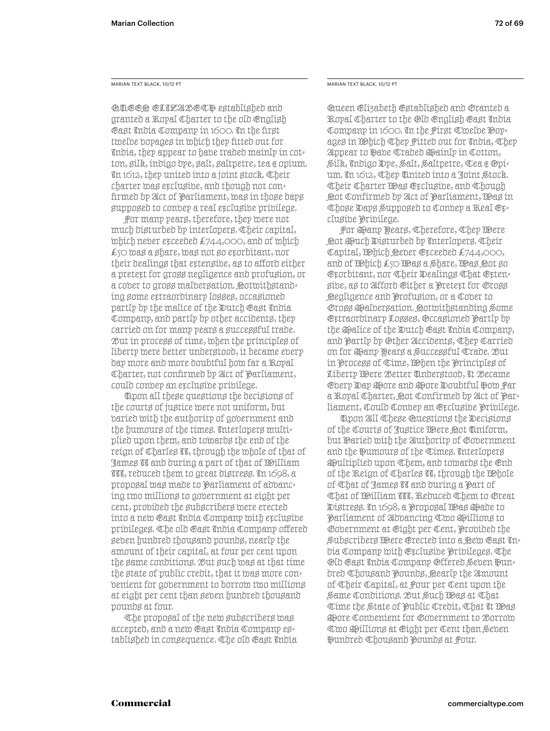MARIAN TEXT BLACK, 10/12 PT **MARIAN TEXT BLACK, 10/12 PT** MARIAN TEXT BLACK, 10/12 PT

QUEEN ELIZABETH established and granted a Royal Charter to the old English East India Company in 1600. In the first twelve voyages in which they fitted out for India, they appear to have traded mainly in cot-  $\,$ ton, silk, indigo dye, salt, saltpetre, tea & opium. In 1612, they united into a joint stock. Their charter was exclusive, and though not confirmed by Act of Parliament, was in those days supposed to convey a real exclusive privilege.

For many years, therefore, they were not much disturbed by interlopers. Their capital, which never exceeded £744,000, and of which £50 was a share, was not so exorbitant, nor their dealings that extensive, as to afford either a pretext for gross negligence and profusion, or a cover to gross malversation. Notwithstanding some extraordinary losses, occasioned partly by the malice of the Dutch East India Company, and partly by other accidents, they carried on for many years a successful trade. But in process of time, when the principles of liberty were better understood, it became every day more and more doubtful how far a Royal Charter, not confirmed by Act of Parliament, could convey an exclusive privilege.

Upon all these questions the decisions of the courts of justice were not uniform, but varied with the authority of government and the humours of the times. Interlopers multiplied upon them, and towards the end of the reign of Charles II, through the whole of that of James II and during a part of that of William III, reduced them to great distress. In 1698, a proposal was made to Parliament of advancing two millions to government at eight per cent, provided the subscribers were erected into a new East India Company with exclusive privileges. The old East India Company offered seven hundred thousand pounds, nearly the amount of their capital, at four per cent upon the same conditions. But such was at that time the state of public credit, that it was more convenient for government to borrow two millions at eight per cent than seven hundred thousand pounds at four.

The proposal of the new subscribers was accepted, and a new East India Company established in consequence. The old East India

Queen Elizabeth Established and Granted a Royal Charter to the Old English East India Company in 1600. In the first Cwelve Boy= ages in Which They Fitted out for India, They Appear to Have Traded Mainly in Cotton, Silk, Indigo Dye, Salt, Saltpetre, Tea & Opium. In 1612, They United into a Joint Stock. Their Charter Was Exclusive, and Though Not Confirmed by Act of Parliament, Was in Those Days Supposed to Convey a Real Exclusive Privilege.

For Many Years, Therefore, They Were Not Much Disturbed by Interlopers. Their Capital, Which Never Exceeded £744,000, and of Which £50 Was a Share, Was Not so Exorbitant, nor Their Dealings That Extensive, as to Afford Either a Pretext for Gross Negligence and Profusion, or a Cover to Gross Malversation. Notwithstanding Some Extraordinary Losses, Occasioned Partly by the Malice of the Dutch East India Company, and Partly by Other Accidents, They Carried on for Many Years a Successful Trade. But in Process of Time, When the Principles of Liberty Were Better Understood, It Became Every Day More and More Doubtful How Far a Royal Charter, Not Confirmed by Act of Parliament, Could Convey an Exclusive Privilege.

Upon All These Questions the Decisions of the Courts of Justice Were Not Uniform, but Varied with the Authority of Government and the Humours of the Times. Interlopers Multiplied upon Them, and towards the End of the Reign of Charles II, through the Whole of That of James II and during a Part of That of William III, Reduced Them to Great Distress. In 1698, a Proposal Was Made to Parliament of Advancing Two Millions to Government at Eight per Cent, Provided the Subscribers Obere Erected into a Pet East India Company with Exclusive Privileges. The Old East India Company Offered Seven Hundred Thousand Pounds, Nearly the Amount of Their Capital, at Four per Cent upon the Same Conditions. But Such Was at That Time the State of Public Credit, That It Was More Convenient for Government to Borrow Two Millions at Eight per Cent than Seven Hundred Thousand Pounds at Four.